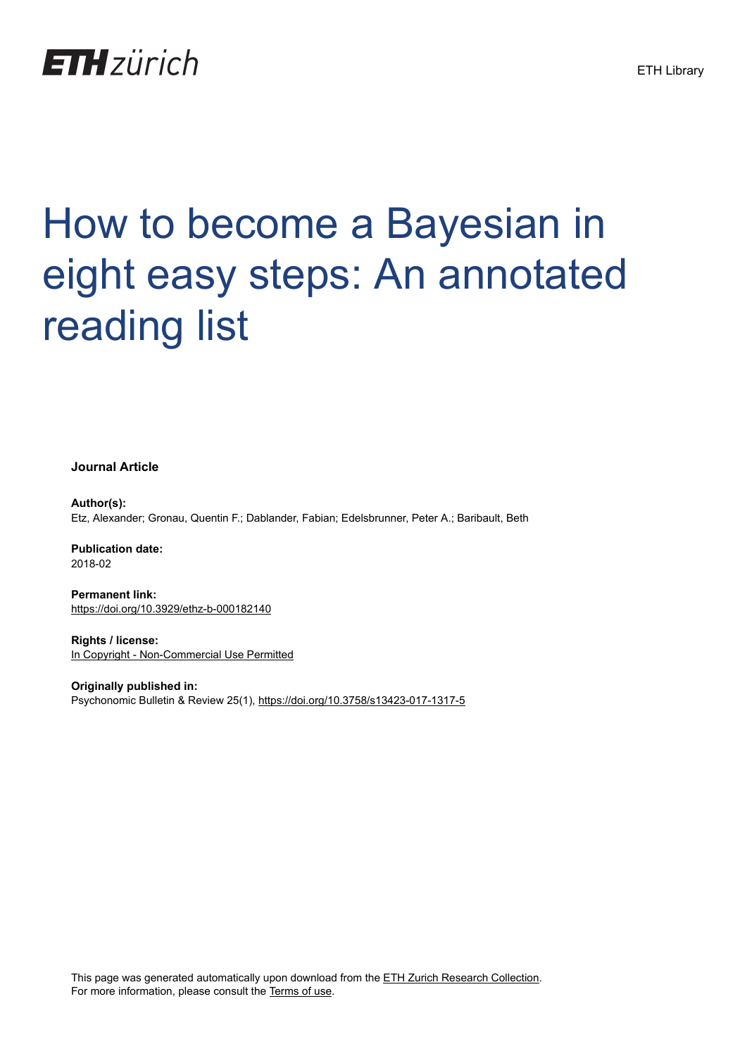# **ETH**zürich

# How to become a Bayesian in eight easy steps: An annotated reading list

**Journal Article**

**Author(s):** Etz, Alexander; Gronau, Quentin F.; Dablander, Fabian; Edelsbrunner, Peter A.; Baribault, Beth

**Publication date:** 2018-02

**Permanent link:** <https://doi.org/10.3929/ethz-b-000182140>

**Rights / license:** [In Copyright - Non-Commercial Use Permitted](http://rightsstatements.org/page/InC-NC/1.0/)

**Originally published in:** Psychonomic Bulletin & Review 25(1),<https://doi.org/10.3758/s13423-017-1317-5>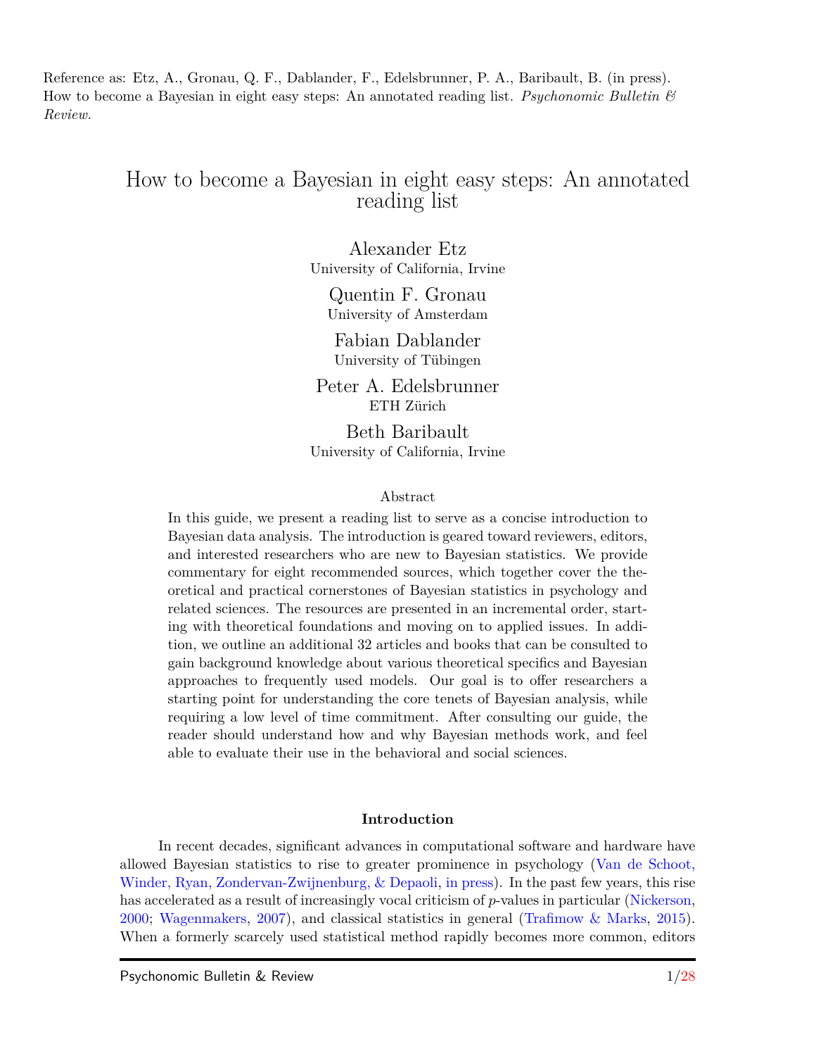Reference as: Etz, A., Gronau, Q. F., Dablander, F., Edelsbrunner, P. A., Baribault, B. (in press). How to become a Bayesian in eight easy steps: An annotated reading list. *Psychonomic Bulletin & Review.*

### How to become a Bayesian in eight easy steps: An annotated reading list

Alexander Etz University of California, Irvine

Quentin F. Gronau University of Amsterdam

Fabian Dablander University of Tübingen

Peter A. Edelsbrunner ETH Zürich

Beth Baribault University of California, Irvine

#### Abstract

In this guide, we present a reading list to serve as a concise introduction to Bayesian data analysis. The introduction is geared toward reviewers, editors, and interested researchers who are new to Bayesian statistics. We provide commentary for eight recommended sources, which together cover the theoretical and practical cornerstones of Bayesian statistics in psychology and related sciences. The resources are presented in an incremental order, starting with theoretical foundations and moving on to applied issues. In addition, we outline an additional 32 articles and books that can be consulted to gain background knowledge about various theoretical specifics and Bayesian approaches to frequently used models. Our goal is to offer researchers a starting point for understanding the core tenets of Bayesian analysis, while requiring a low level of time commitment. After consulting our guide, the reader should understand how and why Bayesian methods work, and feel able to evaluate their use in the behavioral and social sciences.

#### **Introduction**

In recent decades, significant advances in computational software and hardware have allowed Bayesian statistics to rise to greater prominence in psychology [\(Van de Schoot,](#page-21-0) [Winder, Ryan, Zondervan-Zwijnenburg, & Depaoli,](#page-21-0) [in press\)](#page-21-0). In the past few years, this rise has accelerated as a result of increasingly vocal criticism of *p*-values in particular [\(Nickerson,](#page-19-0) [2000;](#page-19-0) [Wagenmakers,](#page-21-1) [2007\)](#page-21-1), and classical statistics in general [\(Trafimow & Marks,](#page-21-2) [2015\)](#page-21-2). When a formerly scarcely used statistical method rapidly becomes more common, editors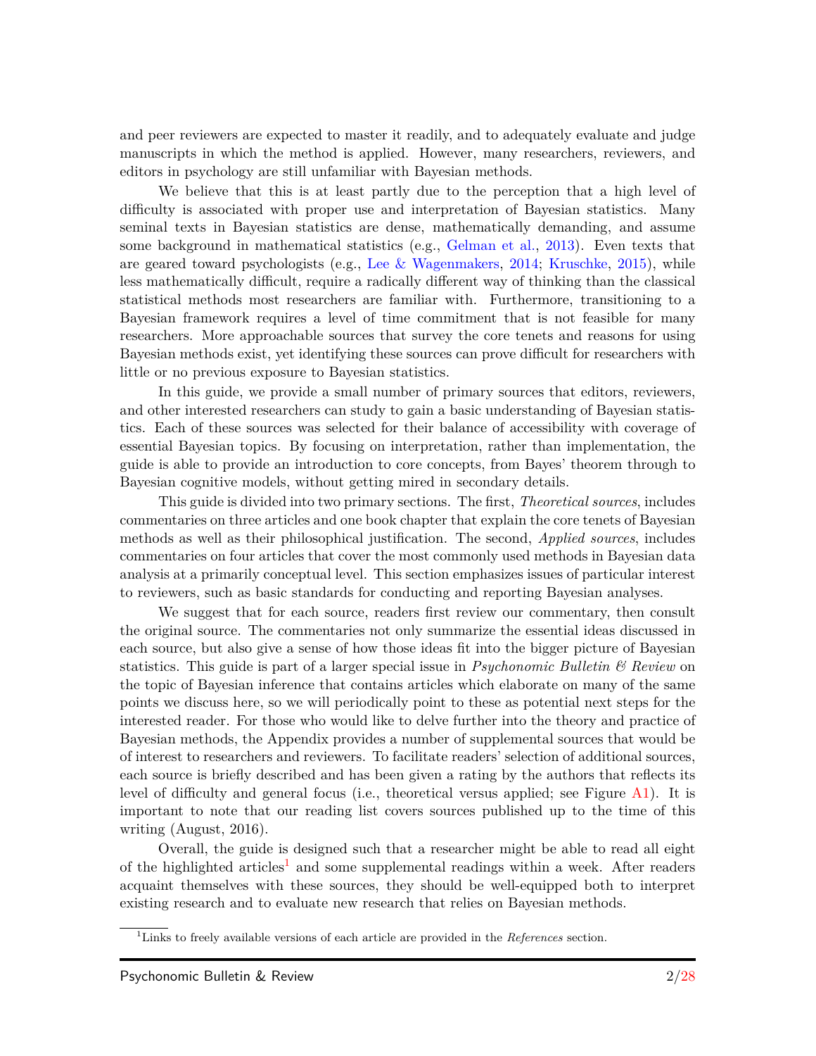and peer reviewers are expected to master it readily, and to adequately evaluate and judge manuscripts in which the method is applied. However, many researchers, reviewers, and editors in psychology are still unfamiliar with Bayesian methods.

We believe that this is at least partly due to the perception that a high level of difficulty is associated with proper use and interpretation of Bayesian statistics. Many seminal texts in Bayesian statistics are dense, mathematically demanding, and assume some background in mathematical statistics (e.g., [Gelman et al.,](#page-18-0) [2013\)](#page-18-0). Even texts that are geared toward psychologists (e.g., [Lee & Wagenmakers,](#page-19-1) [2014;](#page-19-1) [Kruschke,](#page-19-2) [2015\)](#page-19-2), while less mathematically difficult, require a radically different way of thinking than the classical statistical methods most researchers are familiar with. Furthermore, transitioning to a Bayesian framework requires a level of time commitment that is not feasible for many researchers. More approachable sources that survey the core tenets and reasons for using Bayesian methods exist, yet identifying these sources can prove difficult for researchers with little or no previous exposure to Bayesian statistics.

In this guide, we provide a small number of primary sources that editors, reviewers, and other interested researchers can study to gain a basic understanding of Bayesian statistics. Each of these sources was selected for their balance of accessibility with coverage of essential Bayesian topics. By focusing on interpretation, rather than implementation, the guide is able to provide an introduction to core concepts, from Bayes' theorem through to Bayesian cognitive models, without getting mired in secondary details.

This guide is divided into two primary sections. The first, *Theoretical sources*, includes commentaries on three articles and one book chapter that explain the core tenets of Bayesian methods as well as their philosophical justification. The second, *Applied sources*, includes commentaries on four articles that cover the most commonly used methods in Bayesian data analysis at a primarily conceptual level. This section emphasizes issues of particular interest to reviewers, such as basic standards for conducting and reporting Bayesian analyses.

We suggest that for each source, readers first review our commentary, then consult the original source. The commentaries not only summarize the essential ideas discussed in each source, but also give a sense of how those ideas fit into the bigger picture of Bayesian statistics. This guide is part of a larger special issue in *Psychonomic Bulletin & Review* on the topic of Bayesian inference that contains articles which elaborate on many of the same points we discuss here, so we will periodically point to these as potential next steps for the interested reader. For those who would like to delve further into the theory and practice of Bayesian methods, the Appendix provides a number of supplemental sources that would be of interest to researchers and reviewers. To facilitate readers' selection of additional sources, each source is briefly described and has been given a rating by the authors that reflects its level of difficulty and general focus (i.e., theoretical versus applied; see Figure [A1\)](#page-28-1). It is important to note that our reading list covers sources published up to the time of this writing (August, 2016).

Overall, the guide is designed such that a researcher might be able to read all eight of the highlighted articles<sup>[1](#page-2-0)</sup> and some supplemental readings within a week. After readers acquaint themselves with these sources, they should be well-equipped both to interpret existing research and to evaluate new research that relies on Bayesian methods.

<span id="page-2-0"></span><sup>1</sup>Links to freely available versions of each article are provided in the *References* section.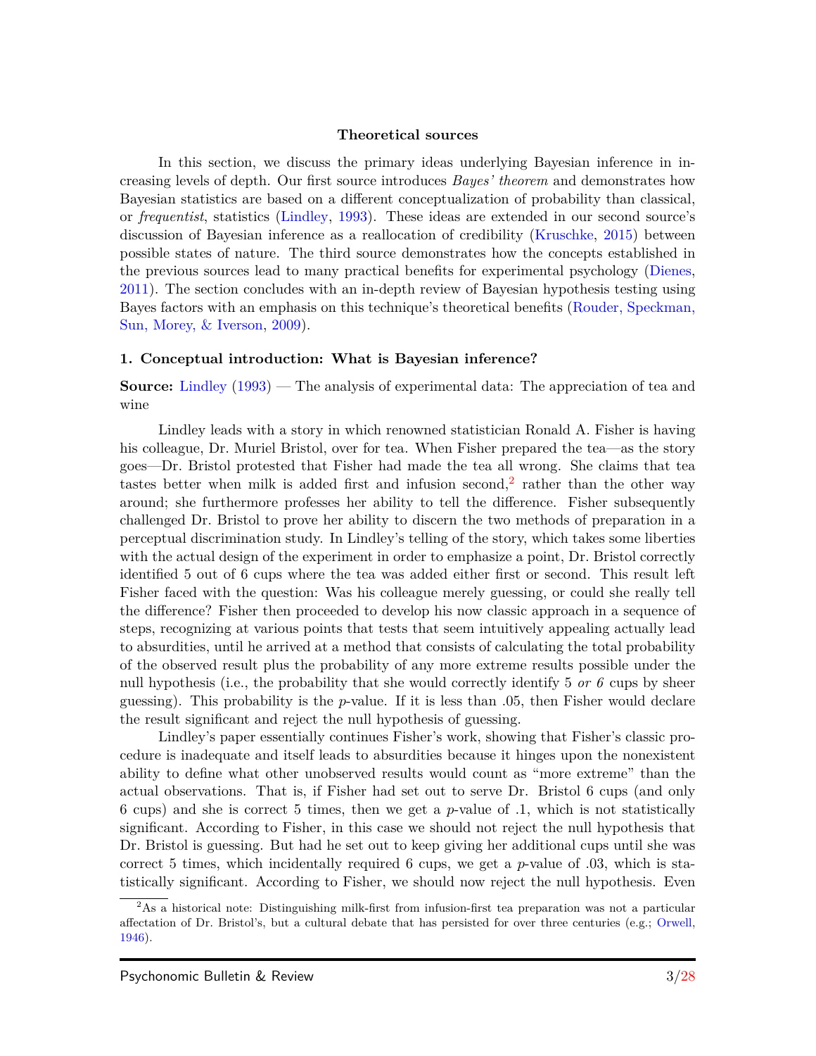#### **Theoretical sources**

In this section, we discuss the primary ideas underlying Bayesian inference in increasing levels of depth. Our first source introduces *Bayes' theorem* and demonstrates how Bayesian statistics are based on a different conceptualization of probability than classical, or *frequentist*, statistics [\(Lindley,](#page-19-3) [1993\)](#page-19-3). These ideas are extended in our second source's discussion of Bayesian inference as a reallocation of credibility [\(Kruschke,](#page-19-2) [2015\)](#page-19-2) between possible states of nature. The third source demonstrates how the concepts established in the previous sources lead to many practical benefits for experimental psychology [\(Dienes,](#page-17-0) [2011\)](#page-17-0). The section concludes with an in-depth review of Bayesian hypothesis testing using Bayes factors with an emphasis on this technique's theoretical benefits [\(Rouder, Speckman,](#page-20-0) [Sun, Morey, & Iverson,](#page-20-0) [2009\)](#page-20-0).

#### **1. Conceptual introduction: What is Bayesian inference?**

**Source:** [Lindley](#page-19-3) [\(1993\)](#page-19-3) — The analysis of experimental data: The appreciation of tea and wine

Lindley leads with a story in which renowned statistician Ronald A. Fisher is having his colleague, Dr. Muriel Bristol, over for tea. When Fisher prepared the tea—as the story goes—Dr. Bristol protested that Fisher had made the tea all wrong. She claims that tea tastes better when milk is added first and infusion second,<sup>[2](#page-3-0)</sup> rather than the other way around; she furthermore professes her ability to tell the difference. Fisher subsequently challenged Dr. Bristol to prove her ability to discern the two methods of preparation in a perceptual discrimination study. In Lindley's telling of the story, which takes some liberties with the actual design of the experiment in order to emphasize a point, Dr. Bristol correctly identified 5 out of 6 cups where the tea was added either first or second. This result left Fisher faced with the question: Was his colleague merely guessing, or could she really tell the difference? Fisher then proceeded to develop his now classic approach in a sequence of steps, recognizing at various points that tests that seem intuitively appealing actually lead to absurdities, until he arrived at a method that consists of calculating the total probability of the observed result plus the probability of any more extreme results possible under the null hypothesis (i.e., the probability that she would correctly identify 5 *or 6* cups by sheer guessing). This probability is the *p*-value. If it is less than .05, then Fisher would declare the result significant and reject the null hypothesis of guessing.

Lindley's paper essentially continues Fisher's work, showing that Fisher's classic procedure is inadequate and itself leads to absurdities because it hinges upon the nonexistent ability to define what other unobserved results would count as "more extreme" than the actual observations. That is, if Fisher had set out to serve Dr. Bristol 6 cups (and only 6 cups) and she is correct 5 times, then we get a *p*-value of .1, which is not statistically significant. According to Fisher, in this case we should not reject the null hypothesis that Dr. Bristol is guessing. But had he set out to keep giving her additional cups until she was correct 5 times, which incidentally required 6 cups, we get a *p*-value of .03, which is statistically significant. According to Fisher, we should now reject the null hypothesis. Even

<span id="page-3-0"></span><sup>2</sup>As a historical note: Distinguishing milk-first from infusion-first tea preparation was not a particular affectation of Dr. Bristol's, but a cultural debate that has persisted for over three centuries (e.g.; [Orwell,](#page-20-1) [1946\)](#page-20-1).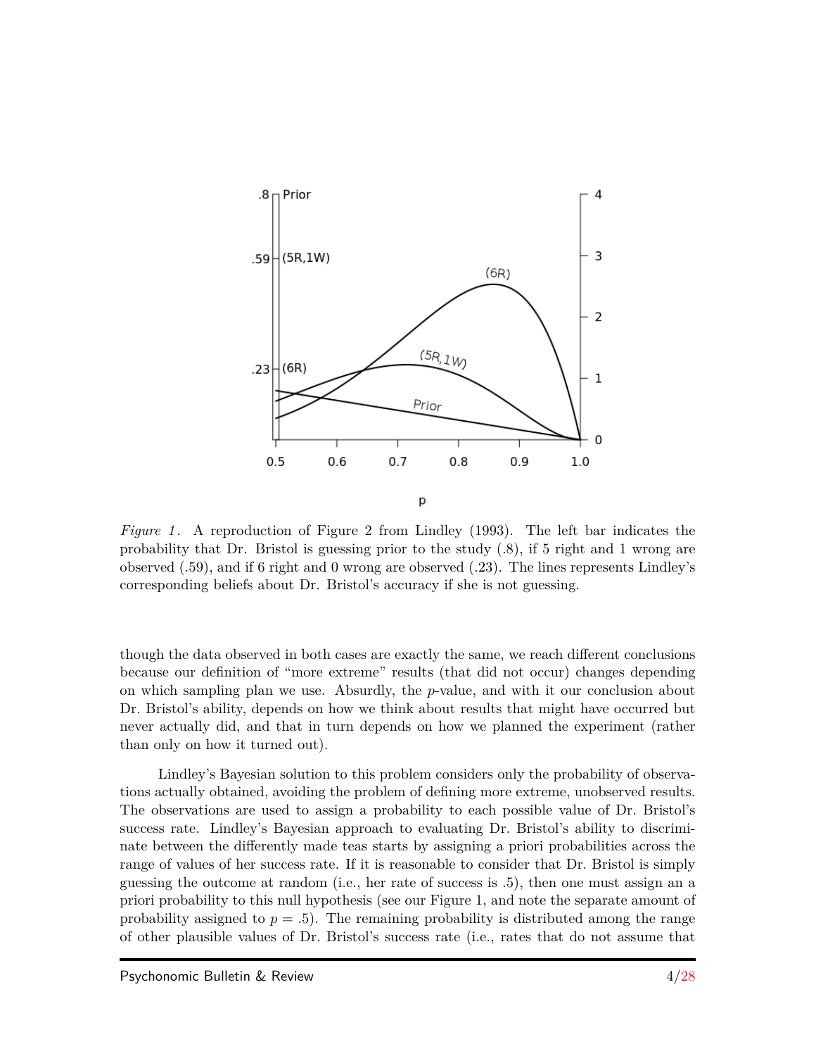

*Figure 1* . A reproduction of Figure 2 from Lindley (1993). The left bar indicates the probability that Dr. Bristol is guessing prior to the study (.8), if 5 right and 1 wrong are observed (.59), and if 6 right and 0 wrong are observed (.23). The lines represents Lindley's corresponding beliefs about Dr. Bristol's accuracy if she is not guessing.

though the data observed in both cases are exactly the same, we reach different conclusions because our definition of "more extreme" results (that did not occur) changes depending on which sampling plan we use. Absurdly, the *p*-value, and with it our conclusion about Dr. Bristol's ability, depends on how we think about results that might have occurred but never actually did, and that in turn depends on how we planned the experiment (rather than only on how it turned out).

Lindley's Bayesian solution to this problem considers only the probability of observations actually obtained, avoiding the problem of defining more extreme, unobserved results. The observations are used to assign a probability to each possible value of Dr. Bristol's success rate. Lindley's Bayesian approach to evaluating Dr. Bristol's ability to discriminate between the differently made teas starts by assigning a priori probabilities across the range of values of her success rate. If it is reasonable to consider that Dr. Bristol is simply guessing the outcome at random (i.e., her rate of success is .5), then one must assign an a priori probability to this null hypothesis (see our Figure 1, and note the separate amount of probability assigned to  $p = .5$ ). The remaining probability is distributed among the range of other plausible values of Dr. Bristol's success rate (i.e., rates that do not assume that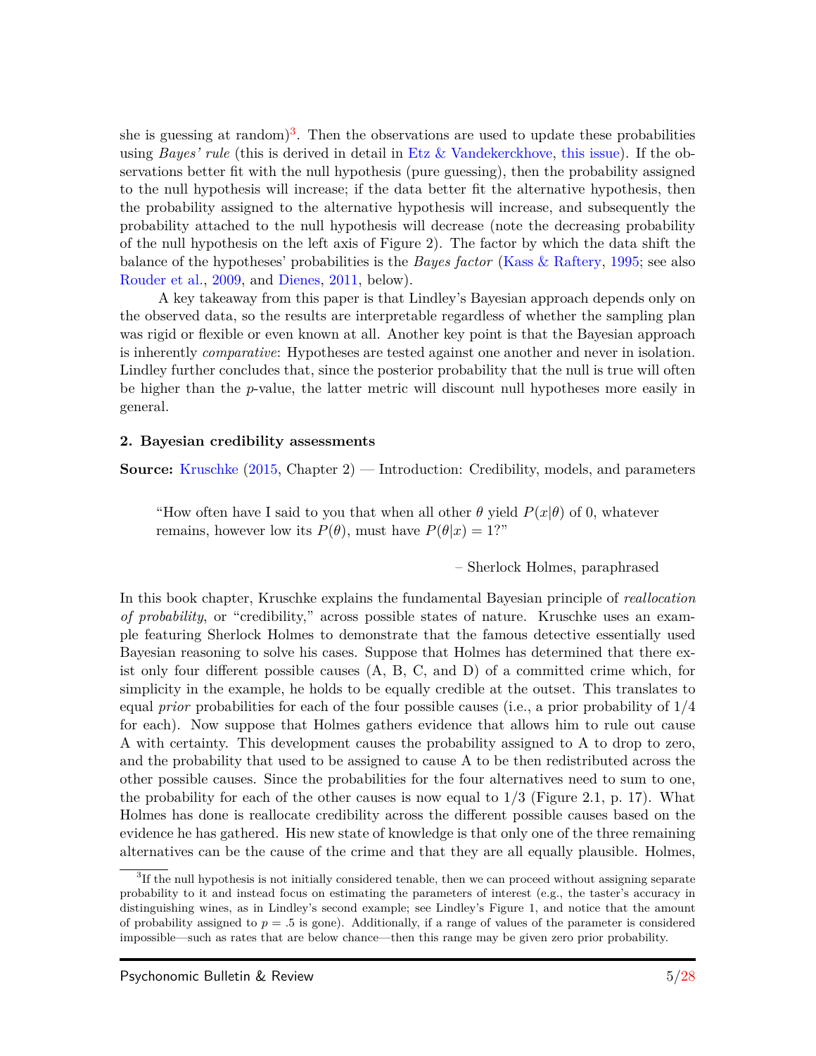she is guessing at random)<sup>[3](#page-5-0)</sup>. Then the observations are used to update these probabilities using *Bayes' rule* (this is derived in detail in [Etz & Vandekerckhove,](#page-18-1) [this issue\)](#page-18-1). If the observations better fit with the null hypothesis (pure guessing), then the probability assigned to the null hypothesis will increase; if the data better fit the alternative hypothesis, then the probability assigned to the alternative hypothesis will increase, and subsequently the probability attached to the null hypothesis will decrease (note the decreasing probability of the null hypothesis on the left axis of Figure 2). The factor by which the data shift the balance of the hypotheses' probabilities is the *Bayes factor* [\(Kass & Raftery,](#page-18-2) [1995;](#page-18-2) see also [Rouder et al.,](#page-20-0) [2009,](#page-20-0) and [Dienes,](#page-17-0) [2011,](#page-17-0) below).

A key takeaway from this paper is that Lindley's Bayesian approach depends only on the observed data, so the results are interpretable regardless of whether the sampling plan was rigid or flexible or even known at all. Another key point is that the Bayesian approach is inherently *comparative*: Hypotheses are tested against one another and never in isolation. Lindley further concludes that, since the posterior probability that the null is true will often be higher than the *p*-value, the latter metric will discount null hypotheses more easily in general.

#### **2. Bayesian credibility assessments**

**Source:** [Kruschke](#page-19-2) [\(2015,](#page-19-2) Chapter 2) — Introduction: Credibility, models, and parameters

"How often have I said to you that when all other  $\theta$  yield  $P(x|\theta)$  of 0, whatever remains, however low its  $P(\theta)$ , must have  $P(\theta|x) = 1$ ?"

#### – Sherlock Holmes, paraphrased

In this book chapter, Kruschke explains the fundamental Bayesian principle of *reallocation of probability*, or "credibility," across possible states of nature. Kruschke uses an example featuring Sherlock Holmes to demonstrate that the famous detective essentially used Bayesian reasoning to solve his cases. Suppose that Holmes has determined that there exist only four different possible causes (A, B, C, and D) of a committed crime which, for simplicity in the example, he holds to be equally credible at the outset. This translates to equal *prior* probabilities for each of the four possible causes (i.e., a prior probability of 1*/*4 for each). Now suppose that Holmes gathers evidence that allows him to rule out cause A with certainty. This development causes the probability assigned to A to drop to zero, and the probability that used to be assigned to cause A to be then redistributed across the other possible causes. Since the probabilities for the four alternatives need to sum to one, the probability for each of the other causes is now equal to 1*/*3 (Figure 2.1, p. 17). What Holmes has done is reallocate credibility across the different possible causes based on the evidence he has gathered. His new state of knowledge is that only one of the three remaining alternatives can be the cause of the crime and that they are all equally plausible. Holmes,

<span id="page-5-0"></span><sup>&</sup>lt;sup>3</sup>If the null hypothesis is not initially considered tenable, then we can proceed without assigning separate probability to it and instead focus on estimating the parameters of interest (e.g., the taster's accuracy in distinguishing wines, as in Lindley's second example; see Lindley's Figure 1, and notice that the amount of probability assigned to  $p = .5$  is gone). Additionally, if a range of values of the parameter is considered impossible—such as rates that are below chance—then this range may be given zero prior probability.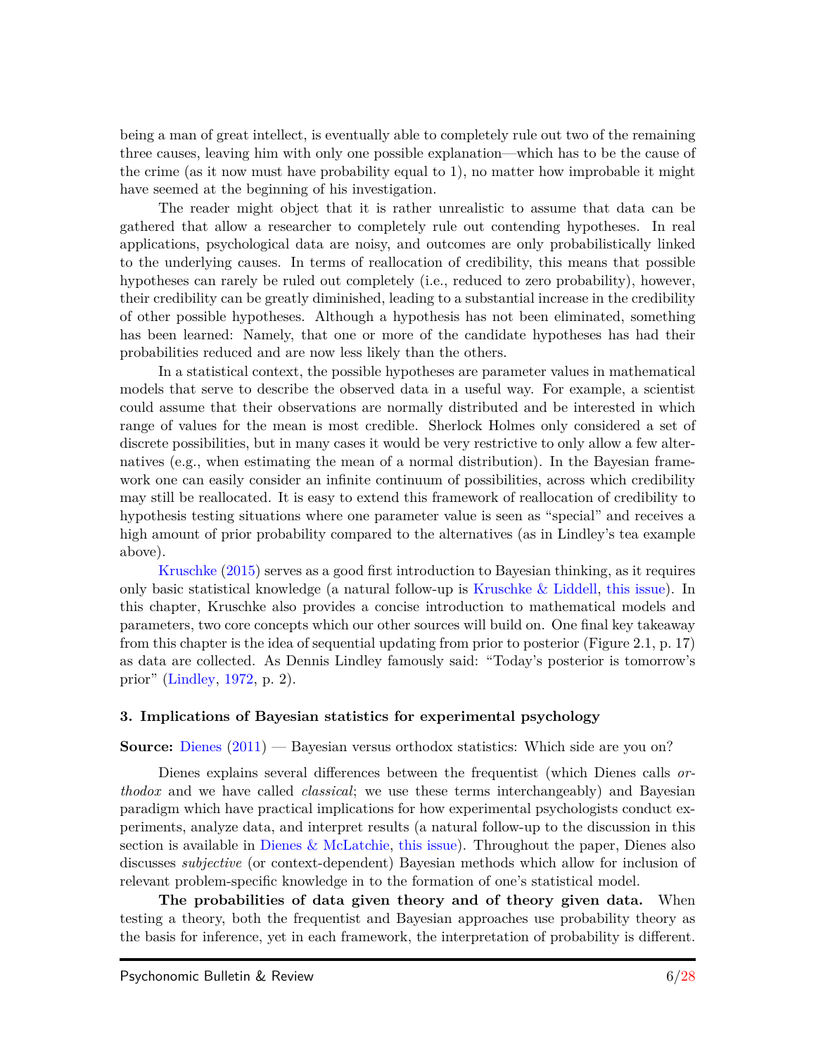being a man of great intellect, is eventually able to completely rule out two of the remaining three causes, leaving him with only one possible explanation—which has to be the cause of the crime (as it now must have probability equal to 1), no matter how improbable it might have seemed at the beginning of his investigation.

The reader might object that it is rather unrealistic to assume that data can be gathered that allow a researcher to completely rule out contending hypotheses. In real applications, psychological data are noisy, and outcomes are only probabilistically linked to the underlying causes. In terms of reallocation of credibility, this means that possible hypotheses can rarely be ruled out completely (i.e., reduced to zero probability), however, their credibility can be greatly diminished, leading to a substantial increase in the credibility of other possible hypotheses. Although a hypothesis has not been eliminated, something has been learned: Namely, that one or more of the candidate hypotheses has had their probabilities reduced and are now less likely than the others.

In a statistical context, the possible hypotheses are parameter values in mathematical models that serve to describe the observed data in a useful way. For example, a scientist could assume that their observations are normally distributed and be interested in which range of values for the mean is most credible. Sherlock Holmes only considered a set of discrete possibilities, but in many cases it would be very restrictive to only allow a few alternatives (e.g., when estimating the mean of a normal distribution). In the Bayesian framework one can easily consider an infinite continuum of possibilities, across which credibility may still be reallocated. It is easy to extend this framework of reallocation of credibility to hypothesis testing situations where one parameter value is seen as "special" and receives a high amount of prior probability compared to the alternatives (as in Lindley's tea example above).

[Kruschke](#page-19-2) [\(2015\)](#page-19-2) serves as a good first introduction to Bayesian thinking, as it requires only basic statistical knowledge (a natural follow-up is [Kruschke & Liddell,](#page-19-4) [this issue\)](#page-19-4). In this chapter, Kruschke also provides a concise introduction to mathematical models and parameters, two core concepts which our other sources will build on. One final key takeaway from this chapter is the idea of sequential updating from prior to posterior (Figure 2.1, p. 17) as data are collected. As Dennis Lindley famously said: "Today's posterior is tomorrow's prior" [\(Lindley,](#page-19-5) [1972,](#page-19-5) p. 2).

#### **3. Implications of Bayesian statistics for experimental psychology**

**Source:** [Dienes](#page-17-0) [\(2011\)](#page-17-0) — Bayesian versus orthodox statistics: Which side are you on?

Dienes explains several differences between the frequentist (which Dienes calls *orthodox* and we have called *classical*; we use these terms interchangeably) and Bayesian paradigm which have practical implications for how experimental psychologists conduct experiments, analyze data, and interpret results (a natural follow-up to the discussion in this section is available in [Dienes & McLatchie,](#page-17-1) [this issue\)](#page-17-1). Throughout the paper, Dienes also discusses *subjective* (or context-dependent) Bayesian methods which allow for inclusion of relevant problem-specific knowledge in to the formation of one's statistical model.

**The probabilities of data given theory and of theory given data.** When testing a theory, both the frequentist and Bayesian approaches use probability theory as the basis for inference, yet in each framework, the interpretation of probability is different.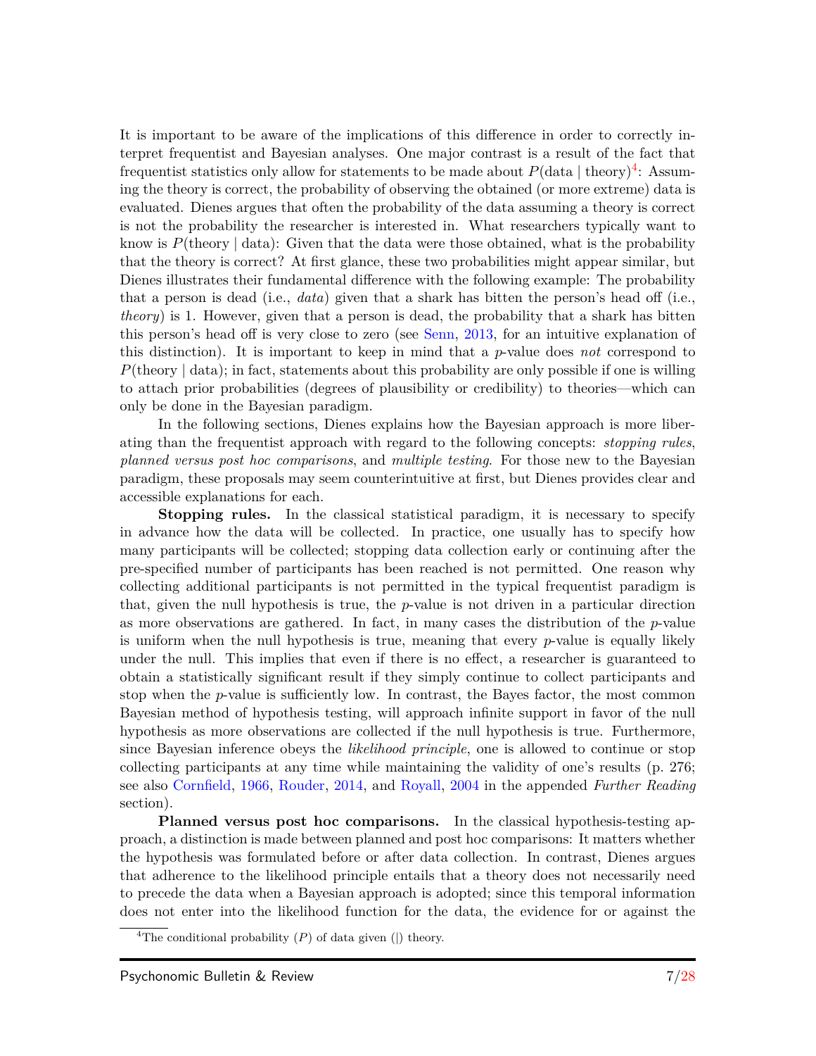It is important to be aware of the implications of this difference in order to correctly interpret frequentist and Bayesian analyses. One major contrast is a result of the fact that frequentist statistics only allow for statements to be made about  $P(\text{data} | \text{theory})^4$  $P(\text{data} | \text{theory})^4$ : Assuming the theory is correct, the probability of observing the obtained (or more extreme) data is evaluated. Dienes argues that often the probability of the data assuming a theory is correct is not the probability the researcher is interested in. What researchers typically want to know is  $P(\text{theory} | \text{data})$ : Given that the data were those obtained, what is the probability that the theory is correct? At first glance, these two probabilities might appear similar, but Dienes illustrates their fundamental difference with the following example: The probability that a person is dead (i.e., *data*) given that a shark has bitten the person's head off (i.e., *theory*) is 1. However, given that a person is dead, the probability that a shark has bitten this person's head off is very close to zero (see [Senn,](#page-21-3) [2013,](#page-21-3) for an intuitive explanation of this distinction). It is important to keep in mind that a *p*-value does *not* correspond to *P*(theory | data); in fact, statements about this probability are only possible if one is willing to attach prior probabilities (degrees of plausibility or credibility) to theories—which can only be done in the Bayesian paradigm.

In the following sections, Dienes explains how the Bayesian approach is more liberating than the frequentist approach with regard to the following concepts: *stopping rules*, *planned versus post hoc comparisons*, and *multiple testing*. For those new to the Bayesian paradigm, these proposals may seem counterintuitive at first, but Dienes provides clear and accessible explanations for each.

**Stopping rules.** In the classical statistical paradigm, it is necessary to specify in advance how the data will be collected. In practice, one usually has to specify how many participants will be collected; stopping data collection early or continuing after the pre-specified number of participants has been reached is not permitted. One reason why collecting additional participants is not permitted in the typical frequentist paradigm is that, given the null hypothesis is true, the *p*-value is not driven in a particular direction as more observations are gathered. In fact, in many cases the distribution of the *p*-value is uniform when the null hypothesis is true, meaning that every *p*-value is equally likely under the null. This implies that even if there is no effect, a researcher is guaranteed to obtain a statistically significant result if they simply continue to collect participants and stop when the *p*-value is sufficiently low. In contrast, the Bayes factor, the most common Bayesian method of hypothesis testing, will approach infinite support in favor of the null hypothesis as more observations are collected if the null hypothesis is true. Furthermore, since Bayesian inference obeys the *likelihood principle*, one is allowed to continue or stop collecting participants at any time while maintaining the validity of one's results (p. 276; see also [Cornfield,](#page-17-2) [1966,](#page-17-2) [Rouder,](#page-20-2) [2014,](#page-20-2) and [Royall,](#page-20-3) [2004](#page-20-3) in the appended *Further Reading* section).

**Planned versus post hoc comparisons.** In the classical hypothesis-testing approach, a distinction is made between planned and post hoc comparisons: It matters whether the hypothesis was formulated before or after data collection. In contrast, Dienes argues that adherence to the likelihood principle entails that a theory does not necessarily need to precede the data when a Bayesian approach is adopted; since this temporal information does not enter into the likelihood function for the data, the evidence for or against the

<span id="page-7-0"></span><sup>&</sup>lt;sup>4</sup>The conditional probability  $(P)$  of data given  $(|)$  theory.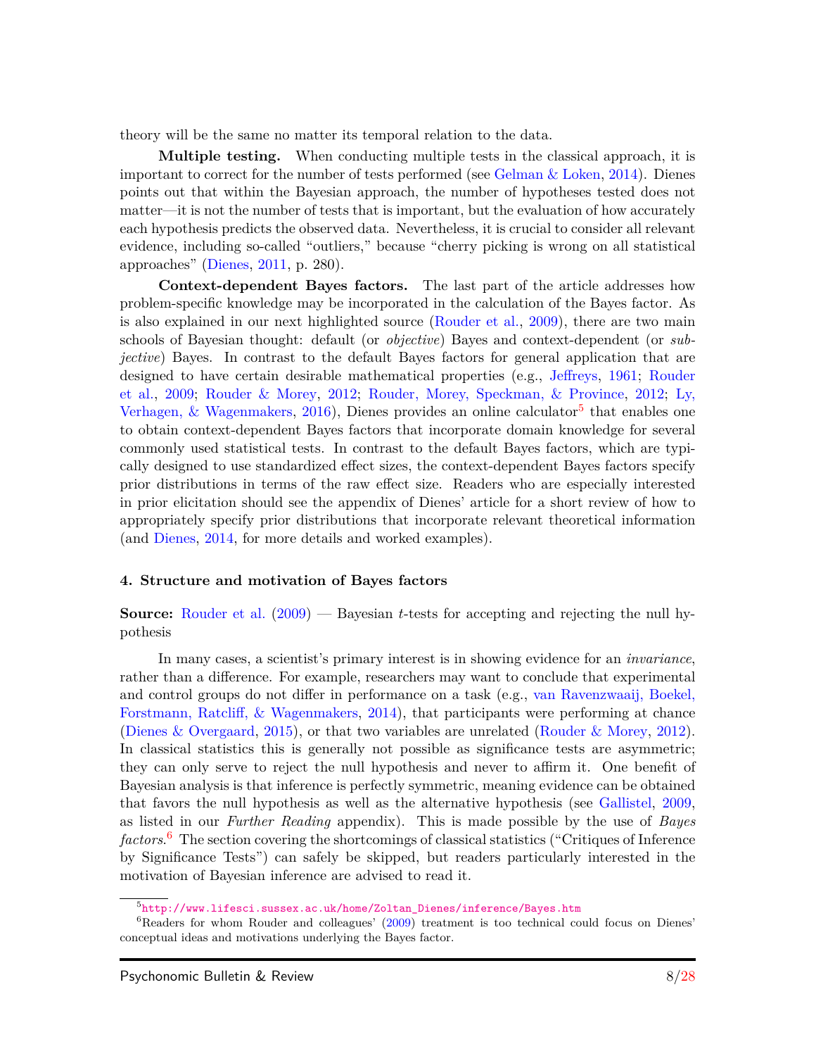theory will be the same no matter its temporal relation to the data.

**Multiple testing.** When conducting multiple tests in the classical approach, it is important to correct for the number of tests performed (see [Gelman & Loken,](#page-18-3) [2014\)](#page-18-3). Dienes points out that within the Bayesian approach, the number of hypotheses tested does not matter—it is not the number of tests that is important, but the evaluation of how accurately each hypothesis predicts the observed data. Nevertheless, it is crucial to consider all relevant evidence, including so-called "outliers," because "cherry picking is wrong on all statistical approaches" [\(Dienes,](#page-17-0) [2011,](#page-17-0) p. 280).

**Context-dependent Bayes factors.** The last part of the article addresses how problem-specific knowledge may be incorporated in the calculation of the Bayes factor. As is also explained in our next highlighted source [\(Rouder et al.,](#page-20-0) [2009\)](#page-20-0), there are two main schools of Bayesian thought: default (or *objective*) Bayes and context-dependent (or *subjective*) Bayes. In contrast to the default Bayes factors for general application that are designed to have certain desirable mathematical properties (e.g., [Jeffreys,](#page-18-4) [1961;](#page-18-4) [Rouder](#page-20-0) [et al.,](#page-20-0) [2009;](#page-20-0) [Rouder & Morey,](#page-20-4) [2012;](#page-20-4) [Rouder, Morey, Speckman, & Province,](#page-20-5) [2012;](#page-20-5) [Ly,](#page-19-6) [Verhagen, & Wagenmakers,](#page-19-6) [2016\)](#page-19-6), Dienes provides an online calculator<sup>[5](#page-8-0)</sup> that enables one to obtain context-dependent Bayes factors that incorporate domain knowledge for several commonly used statistical tests. In contrast to the default Bayes factors, which are typically designed to use standardized effect sizes, the context-dependent Bayes factors specify prior distributions in terms of the raw effect size. Readers who are especially interested in prior elicitation should see the appendix of Dienes' article for a short review of how to appropriately specify prior distributions that incorporate relevant theoretical information (and [Dienes,](#page-17-3) [2014,](#page-17-3) for more details and worked examples).

#### **4. Structure and motivation of Bayes factors**

**Source:** [Rouder et al.](#page-20-0) [\(2009\)](#page-20-0) — Bayesian *t*-tests for accepting and rejecting the null hypothesis

In many cases, a scientist's primary interest is in showing evidence for an *invariance*, rather than a difference. For example, researchers may want to conclude that experimental and control groups do not differ in performance on a task (e.g., [van Ravenzwaaij, Boekel,](#page-21-4) [Forstmann, Ratcliff, & Wagenmakers,](#page-21-4) [2014\)](#page-21-4), that participants were performing at chance [\(Dienes & Overgaard,](#page-17-4) [2015\)](#page-17-4), or that two variables are unrelated [\(Rouder & Morey,](#page-20-4) [2012\)](#page-20-4). In classical statistics this is generally not possible as significance tests are asymmetric; they can only serve to reject the null hypothesis and never to affirm it. One benefit of Bayesian analysis is that inference is perfectly symmetric, meaning evidence can be obtained that favors the null hypothesis as well as the alternative hypothesis (see [Gallistel,](#page-18-5) [2009,](#page-18-5) as listed in our *Further Reading* appendix). This is made possible by the use of *Bayes factors*. [6](#page-8-1) The section covering the shortcomings of classical statistics ("Critiques of Inference by Significance Tests") can safely be skipped, but readers particularly interested in the motivation of Bayesian inference are advised to read it.

<span id="page-8-1"></span><span id="page-8-0"></span> $^{5}$ [http://www.lifesci.sussex.ac.uk/home/Zoltan\\_Dienes/inference/Bayes.htm](http://www.lifesci.sussex.ac.uk/home/Zoltan_Dienes/inference/Bayes.htm)

 ${}^{6}$ Readers for whom Rouder and colleagues' [\(2009\)](#page-20-0) treatment is too technical could focus on Dienes' conceptual ideas and motivations underlying the Bayes factor.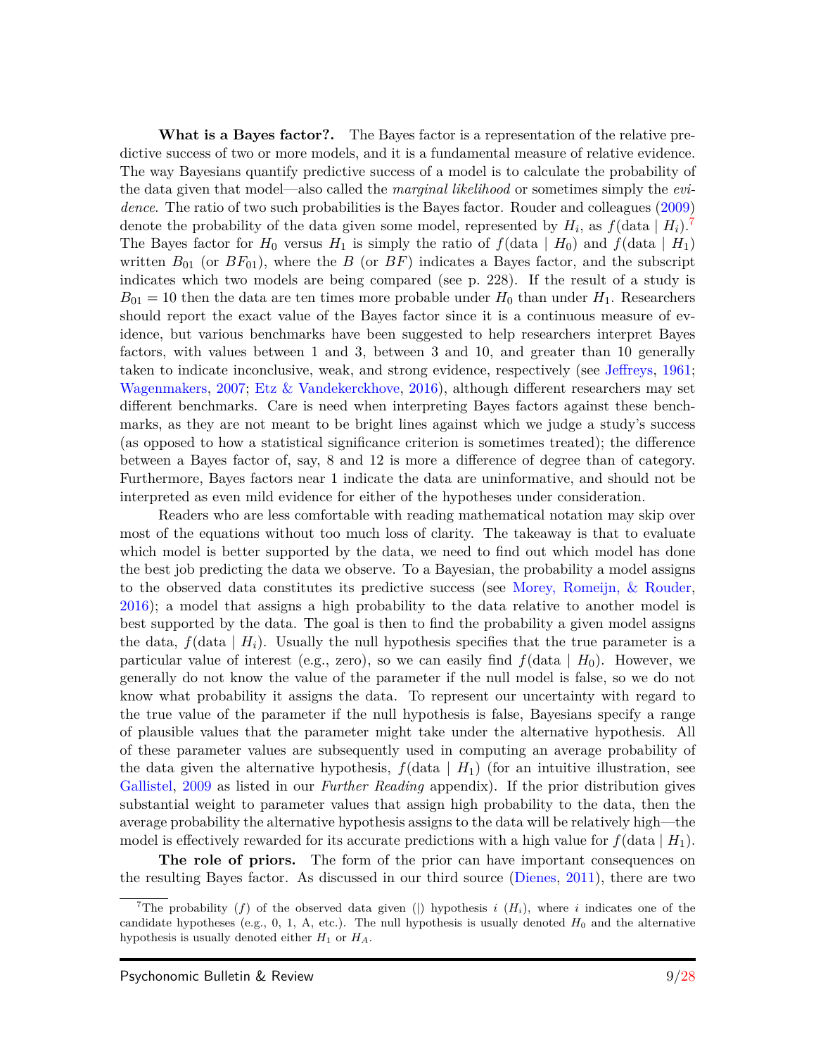**What is a Bayes factor?.** The Bayes factor is a representation of the relative predictive success of two or more models, and it is a fundamental measure of relative evidence. The way Bayesians quantify predictive success of a model is to calculate the probability of the data given that model—also called the *marginal likelihood* or sometimes simply the *evidence*. The ratio of two such probabilities is the Bayes factor. Rouder and colleagues [\(2009\)](#page-20-0) denote the probability of the data given some model, represented by  $H_i$ , as  $f(\text{data} | H_i)$ .<sup>[7](#page-9-0)</sup> The Bayes factor for  $H_0$  versus  $H_1$  is simply the ratio of  $f(\text{data} | H_0)$  and  $f(\text{data} | H_1)$ written  $B_{01}$  (or  $BF_{01}$ ), where the *B* (or  $BF$ ) indicates a Bayes factor, and the subscript indicates which two models are being compared (see p. 228). If the result of a study is  $B_{01} = 10$  then the data are ten times more probable under  $H_0$  than under  $H_1$ . Researchers should report the exact value of the Bayes factor since it is a continuous measure of evidence, but various benchmarks have been suggested to help researchers interpret Bayes factors, with values between 1 and 3, between 3 and 10, and greater than 10 generally taken to indicate inconclusive, weak, and strong evidence, respectively (see [Jeffreys,](#page-18-4) [1961;](#page-18-4) [Wagenmakers,](#page-21-1) [2007;](#page-21-1) [Etz & Vandekerckhove,](#page-18-6) [2016\)](#page-18-6), although different researchers may set different benchmarks. Care is need when interpreting Bayes factors against these benchmarks, as they are not meant to be bright lines against which we judge a study's success (as opposed to how a statistical significance criterion is sometimes treated); the difference between a Bayes factor of, say, 8 and 12 is more a difference of degree than of category. Furthermore, Bayes factors near 1 indicate the data are uninformative, and should not be interpreted as even mild evidence for either of the hypotheses under consideration.

Readers who are less comfortable with reading mathematical notation may skip over most of the equations without too much loss of clarity. The takeaway is that to evaluate which model is better supported by the data, we need to find out which model has done the best job predicting the data we observe. To a Bayesian, the probability a model assigns to the observed data constitutes its predictive success (see [Morey, Romeijn, & Rouder,](#page-19-7) [2016\)](#page-19-7); a model that assigns a high probability to the data relative to another model is best supported by the data. The goal is then to find the probability a given model assigns the data,  $f(\text{data} \mid H_i)$ . Usually the null hypothesis specifies that the true parameter is a particular value of interest (e.g., zero), so we can easily find  $f(\text{data} | H_0)$ . However, we generally do not know the value of the parameter if the null model is false, so we do not know what probability it assigns the data. To represent our uncertainty with regard to the true value of the parameter if the null hypothesis is false, Bayesians specify a range of plausible values that the parameter might take under the alternative hypothesis. All of these parameter values are subsequently used in computing an average probability of the data given the alternative hypothesis,  $f(\text{data} \mid H_1)$  (for an intuitive illustration, see [Gallistel,](#page-18-5) [2009](#page-18-5) as listed in our *Further Reading* appendix). If the prior distribution gives substantial weight to parameter values that assign high probability to the data, then the average probability the alternative hypothesis assigns to the data will be relatively high—the model is effectively rewarded for its accurate predictions with a high value for  $f(\text{data} | H_1)$ .

**The role of priors.** The form of the prior can have important consequences on the resulting Bayes factor. As discussed in our third source [\(Dienes,](#page-17-0) [2011\)](#page-17-0), there are two

<span id="page-9-0"></span><sup>&</sup>lt;sup>7</sup>The probability (*f*) of the observed data given (|) hypothesis  $i(H_i)$ , where  $i$  indicates one of the candidate hypotheses (e.g., 0, 1, A, etc.). The null hypothesis is usually denoted *H*<sup>0</sup> and the alternative hypothesis is usually denoted either *H*<sup>1</sup> or *HA*.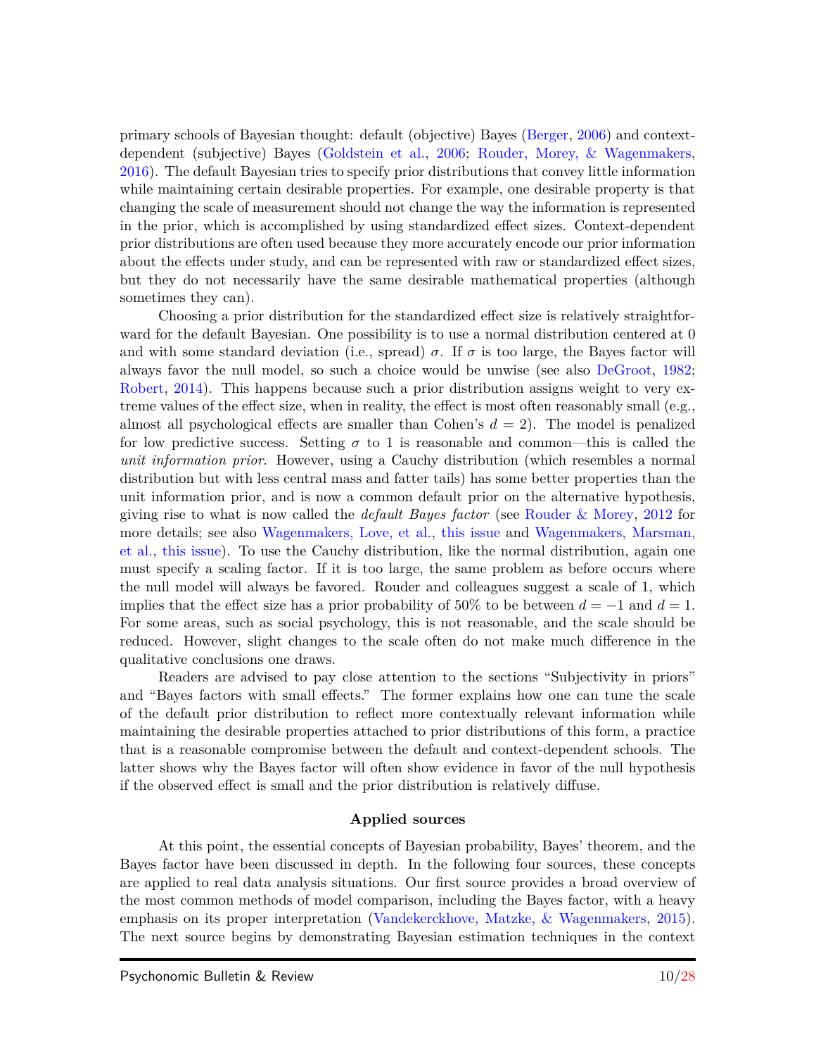primary schools of Bayesian thought: default (objective) Bayes [\(Berger,](#page-17-5) [2006\)](#page-17-5) and contextdependent (subjective) Bayes [\(Goldstein et al.,](#page-18-7) [2006;](#page-18-7) [Rouder, Morey, & Wagenmakers,](#page-20-6) [2016\)](#page-20-6). The default Bayesian tries to specify prior distributions that convey little information while maintaining certain desirable properties. For example, one desirable property is that changing the scale of measurement should not change the way the information is represented in the prior, which is accomplished by using standardized effect sizes. Context-dependent prior distributions are often used because they more accurately encode our prior information about the effects under study, and can be represented with raw or standardized effect sizes, but they do not necessarily have the same desirable mathematical properties (although sometimes they can).

Choosing a prior distribution for the standardized effect size is relatively straightforward for the default Bayesian. One possibility is to use a normal distribution centered at 0 and with some standard deviation (i.e., spread)  $\sigma$ . If  $\sigma$  is too large, the Bayes factor will always favor the null model, so such a choice would be unwise (see also [DeGroot,](#page-17-6) [1982;](#page-17-6) [Robert,](#page-20-7) [2014\)](#page-20-7). This happens because such a prior distribution assigns weight to very extreme values of the effect size, when in reality, the effect is most often reasonably small (e.g., almost all psychological effects are smaller than Cohen's *d* = 2). The model is penalized for low predictive success. Setting  $\sigma$  to 1 is reasonable and common—this is called the *unit information prior*. However, using a Cauchy distribution (which resembles a normal distribution but with less central mass and fatter tails) has some better properties than the unit information prior, and is now a common default prior on the alternative hypothesis, giving rise to what is now called the *default Bayes factor* (see [Rouder & Morey,](#page-20-4) [2012](#page-20-4) for more details; see also [Wagenmakers, Love, et al.,](#page-21-5) [this issue](#page-21-5) and [Wagenmakers, Marsman,](#page-22-0) [et al.,](#page-22-0) [this issue\)](#page-22-0). To use the Cauchy distribution, like the normal distribution, again one must specify a scaling factor. If it is too large, the same problem as before occurs where the null model will always be favored. Rouder and colleagues suggest a scale of 1, which implies that the effect size has a prior probability of 50% to be between  $d = -1$  and  $d = 1$ . For some areas, such as social psychology, this is not reasonable, and the scale should be reduced. However, slight changes to the scale often do not make much difference in the qualitative conclusions one draws.

Readers are advised to pay close attention to the sections "Subjectivity in priors" and "Bayes factors with small effects." The former explains how one can tune the scale of the default prior distribution to reflect more contextually relevant information while maintaining the desirable properties attached to prior distributions of this form, a practice that is a reasonable compromise between the default and context-dependent schools. The latter shows why the Bayes factor will often show evidence in favor of the null hypothesis if the observed effect is small and the prior distribution is relatively diffuse.

#### **Applied sources**

At this point, the essential concepts of Bayesian probability, Bayes' theorem, and the Bayes factor have been discussed in depth. In the following four sources, these concepts are applied to real data analysis situations. Our first source provides a broad overview of the most common methods of model comparison, including the Bayes factor, with a heavy emphasis on its proper interpretation [\(Vandekerckhove, Matzke, & Wagenmakers,](#page-21-6) [2015\)](#page-21-6). The next source begins by demonstrating Bayesian estimation techniques in the context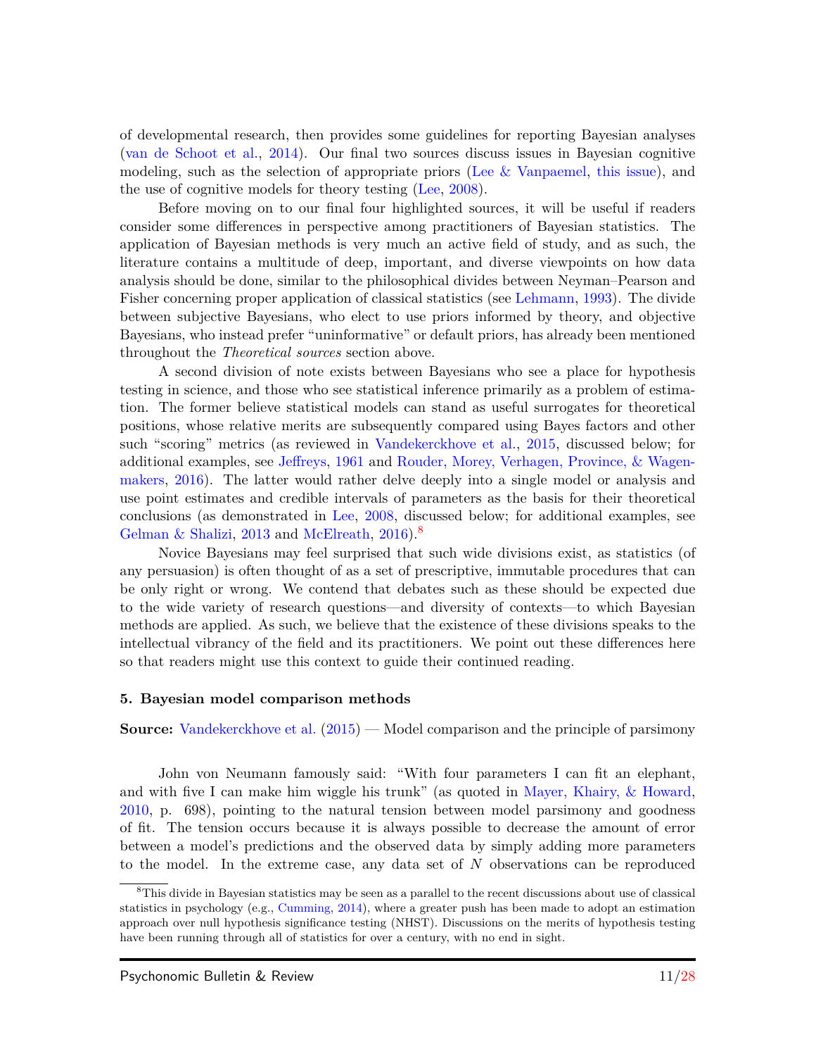of developmental research, then provides some guidelines for reporting Bayesian analyses [\(van de Schoot et al.,](#page-21-7) [2014\)](#page-21-7). Our final two sources discuss issues in Bayesian cognitive modeling, such as the selection of appropriate priors [\(Lee & Vanpaemel,](#page-19-8) [this issue\)](#page-19-8), and the use of cognitive models for theory testing [\(Lee,](#page-19-9) [2008\)](#page-19-9).

Before moving on to our final four highlighted sources, it will be useful if readers consider some differences in perspective among practitioners of Bayesian statistics. The application of Bayesian methods is very much an active field of study, and as such, the literature contains a multitude of deep, important, and diverse viewpoints on how data analysis should be done, similar to the philosophical divides between Neyman–Pearson and Fisher concerning proper application of classical statistics (see [Lehmann,](#page-19-10) [1993\)](#page-19-10). The divide between subjective Bayesians, who elect to use priors informed by theory, and objective Bayesians, who instead prefer "uninformative" or default priors, has already been mentioned throughout the *Theoretical sources* section above.

A second division of note exists between Bayesians who see a place for hypothesis testing in science, and those who see statistical inference primarily as a problem of estimation. The former believe statistical models can stand as useful surrogates for theoretical positions, whose relative merits are subsequently compared using Bayes factors and other such "scoring" metrics (as reviewed in [Vandekerckhove et al.,](#page-21-6) [2015,](#page-21-6) discussed below; for additional examples, see [Jeffreys,](#page-18-4) [1961](#page-18-4) and [Rouder, Morey, Verhagen, Province, & Wagen](#page-20-8)[makers,](#page-20-8) [2016\)](#page-20-8). The latter would rather delve deeply into a single model or analysis and use point estimates and credible intervals of parameters as the basis for their theoretical conclusions (as demonstrated in [Lee,](#page-19-9) [2008,](#page-19-9) discussed below; for additional examples, see [Gelman & Shalizi,](#page-18-8) [2013](#page-18-8) and [McElreath,](#page-19-11) [2016\)](#page-19-11).<sup>[8](#page-11-0)</sup>

Novice Bayesians may feel surprised that such wide divisions exist, as statistics (of any persuasion) is often thought of as a set of prescriptive, immutable procedures that can be only right or wrong. We contend that debates such as these should be expected due to the wide variety of research questions—and diversity of contexts—to which Bayesian methods are applied. As such, we believe that the existence of these divisions speaks to the intellectual vibrancy of the field and its practitioners. We point out these differences here so that readers might use this context to guide their continued reading.

#### **5. Bayesian model comparison methods**

**Source:** [Vandekerckhove et al.](#page-21-6) [\(2015\)](#page-21-6) — Model comparison and the principle of parsimony

John von Neumann famously said: "With four parameters I can fit an elephant, and with five I can make him wiggle his trunk" (as quoted in [Mayer, Khairy, & Howard,](#page-19-12) [2010,](#page-19-12) p. 698), pointing to the natural tension between model parsimony and goodness of fit. The tension occurs because it is always possible to decrease the amount of error between a model's predictions and the observed data by simply adding more parameters to the model. In the extreme case, any data set of *N* observations can be reproduced

<span id="page-11-0"></span><sup>8</sup>This divide in Bayesian statistics may be seen as a parallel to the recent discussions about use of classical statistics in psychology (e.g., [Cumming,](#page-17-7) [2014\)](#page-17-7), where a greater push has been made to adopt an estimation approach over null hypothesis significance testing (NHST). Discussions on the merits of hypothesis testing have been running through all of statistics for over a century, with no end in sight.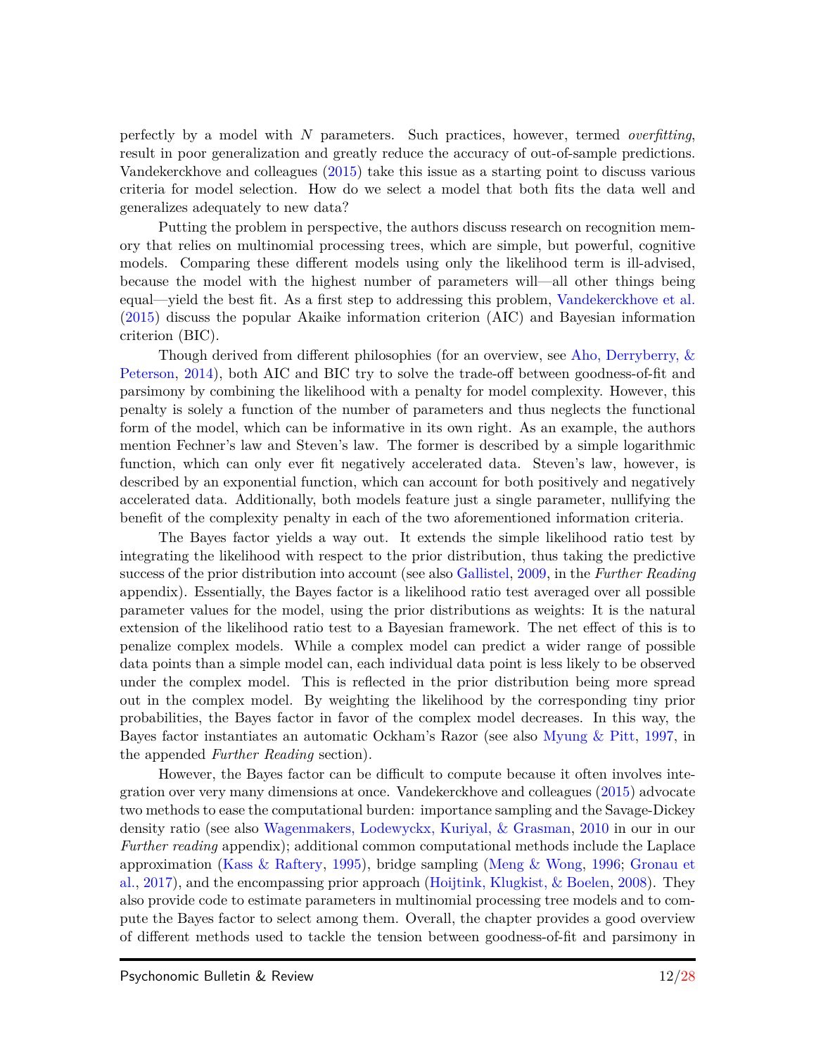perfectly by a model with *N* parameters. Such practices, however, termed *overfitting*, result in poor generalization and greatly reduce the accuracy of out-of-sample predictions. Vandekerckhove and colleagues [\(2015\)](#page-21-6) take this issue as a starting point to discuss various criteria for model selection. How do we select a model that both fits the data well and generalizes adequately to new data?

Putting the problem in perspective, the authors discuss research on recognition memory that relies on multinomial processing trees, which are simple, but powerful, cognitive models. Comparing these different models using only the likelihood term is ill-advised, because the model with the highest number of parameters will—all other things being equal—yield the best fit. As a first step to addressing this problem, [Vandekerckhove et al.](#page-21-6) [\(2015\)](#page-21-6) discuss the popular Akaike information criterion (AIC) and Bayesian information criterion (BIC).

Though derived from different philosophies (for an overview, see [Aho, Derryberry, &](#page-17-8) [Peterson,](#page-17-8) [2014\)](#page-17-8), both AIC and BIC try to solve the trade-off between goodness-of-fit and parsimony by combining the likelihood with a penalty for model complexity. However, this penalty is solely a function of the number of parameters and thus neglects the functional form of the model, which can be informative in its own right. As an example, the authors mention Fechner's law and Steven's law. The former is described by a simple logarithmic function, which can only ever fit negatively accelerated data. Steven's law, however, is described by an exponential function, which can account for both positively and negatively accelerated data. Additionally, both models feature just a single parameter, nullifying the benefit of the complexity penalty in each of the two aforementioned information criteria.

The Bayes factor yields a way out. It extends the simple likelihood ratio test by integrating the likelihood with respect to the prior distribution, thus taking the predictive success of the prior distribution into account (see also [Gallistel,](#page-18-5) [2009,](#page-18-5) in the *Further Reading* appendix). Essentially, the Bayes factor is a likelihood ratio test averaged over all possible parameter values for the model, using the prior distributions as weights: It is the natural extension of the likelihood ratio test to a Bayesian framework. The net effect of this is to penalize complex models. While a complex model can predict a wider range of possible data points than a simple model can, each individual data point is less likely to be observed under the complex model. This is reflected in the prior distribution being more spread out in the complex model. By weighting the likelihood by the corresponding tiny prior probabilities, the Bayes factor in favor of the complex model decreases. In this way, the Bayes factor instantiates an automatic Ockham's Razor (see also [Myung & Pitt,](#page-19-13) [1997,](#page-19-13) in the appended *Further Reading* section).

However, the Bayes factor can be difficult to compute because it often involves integration over very many dimensions at once. Vandekerckhove and colleagues [\(2015\)](#page-21-6) advocate two methods to ease the computational burden: importance sampling and the Savage-Dickey density ratio (see also [Wagenmakers, Lodewyckx, Kuriyal, & Grasman,](#page-21-8) [2010](#page-21-8) in our in our *Further reading* appendix); additional common computational methods include the Laplace approximation [\(Kass & Raftery,](#page-18-2) [1995\)](#page-18-2), bridge sampling [\(Meng & Wong,](#page-19-14) [1996;](#page-19-14) [Gronau et](#page-18-9) [al.,](#page-18-9) [2017\)](#page-18-9), and the encompassing prior approach [\(Hoijtink, Klugkist, & Boelen,](#page-18-10) [2008\)](#page-18-10). They also provide code to estimate parameters in multinomial processing tree models and to compute the Bayes factor to select among them. Overall, the chapter provides a good overview of different methods used to tackle the tension between goodness-of-fit and parsimony in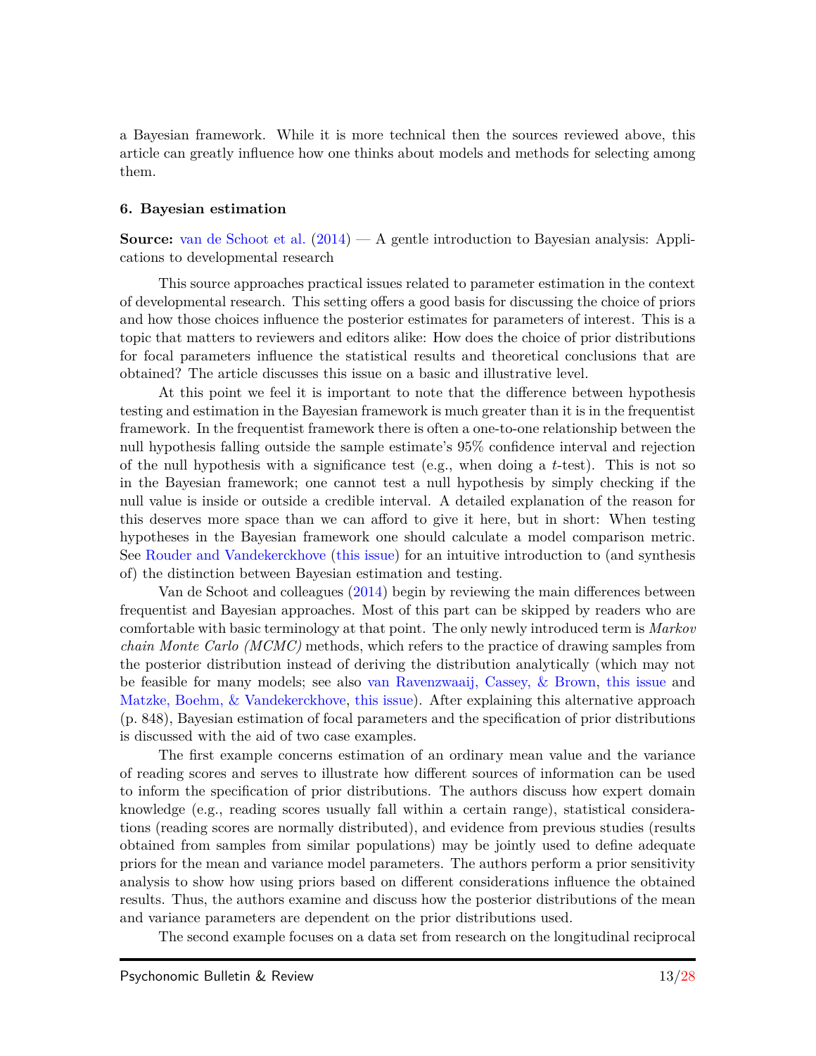a Bayesian framework. While it is more technical then the sources reviewed above, this article can greatly influence how one thinks about models and methods for selecting among them.

#### **6. Bayesian estimation**

**Source:** [van de Schoot et al.](#page-21-7) [\(2014\)](#page-21-7) — A gentle introduction to Bayesian analysis: Applications to developmental research

This source approaches practical issues related to parameter estimation in the context of developmental research. This setting offers a good basis for discussing the choice of priors and how those choices influence the posterior estimates for parameters of interest. This is a topic that matters to reviewers and editors alike: How does the choice of prior distributions for focal parameters influence the statistical results and theoretical conclusions that are obtained? The article discusses this issue on a basic and illustrative level.

At this point we feel it is important to note that the difference between hypothesis testing and estimation in the Bayesian framework is much greater than it is in the frequentist framework. In the frequentist framework there is often a one-to-one relationship between the null hypothesis falling outside the sample estimate's 95% confidence interval and rejection of the null hypothesis with a significance test (e.g., when doing a *t*-test). This is not so in the Bayesian framework; one cannot test a null hypothesis by simply checking if the null value is inside or outside a credible interval. A detailed explanation of the reason for this deserves more space than we can afford to give it here, but in short: When testing hypotheses in the Bayesian framework one should calculate a model comparison metric. See [Rouder and Vandekerckhove](#page-20-9) [\(this issue\)](#page-20-9) for an intuitive introduction to (and synthesis of) the distinction between Bayesian estimation and testing.

Van de Schoot and colleagues [\(2014\)](#page-21-7) begin by reviewing the main differences between frequentist and Bayesian approaches. Most of this part can be skipped by readers who are comfortable with basic terminology at that point. The only newly introduced term is *Markov chain Monte Carlo (MCMC)* methods, which refers to the practice of drawing samples from the posterior distribution instead of deriving the distribution analytically (which may not be feasible for many models; see also [van Ravenzwaaij, Cassey, & Brown,](#page-21-9) [this issue](#page-21-9) and [Matzke, Boehm, & Vandekerckhove,](#page-19-15) [this issue\)](#page-19-15). After explaining this alternative approach (p. 848), Bayesian estimation of focal parameters and the specification of prior distributions is discussed with the aid of two case examples.

The first example concerns estimation of an ordinary mean value and the variance of reading scores and serves to illustrate how different sources of information can be used to inform the specification of prior distributions. The authors discuss how expert domain knowledge (e.g., reading scores usually fall within a certain range), statistical considerations (reading scores are normally distributed), and evidence from previous studies (results obtained from samples from similar populations) may be jointly used to define adequate priors for the mean and variance model parameters. The authors perform a prior sensitivity analysis to show how using priors based on different considerations influence the obtained results. Thus, the authors examine and discuss how the posterior distributions of the mean and variance parameters are dependent on the prior distributions used.

The second example focuses on a data set from research on the longitudinal reciprocal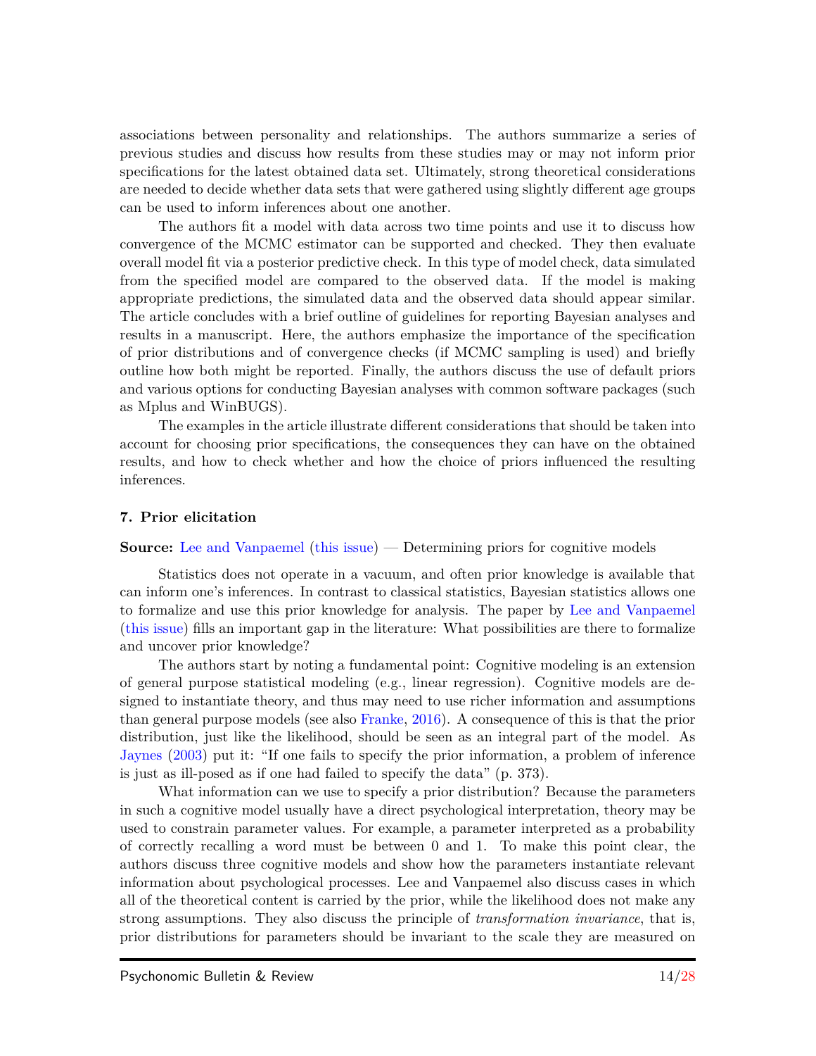associations between personality and relationships. The authors summarize a series of previous studies and discuss how results from these studies may or may not inform prior specifications for the latest obtained data set. Ultimately, strong theoretical considerations are needed to decide whether data sets that were gathered using slightly different age groups can be used to inform inferences about one another.

The authors fit a model with data across two time points and use it to discuss how convergence of the MCMC estimator can be supported and checked. They then evaluate overall model fit via a posterior predictive check. In this type of model check, data simulated from the specified model are compared to the observed data. If the model is making appropriate predictions, the simulated data and the observed data should appear similar. The article concludes with a brief outline of guidelines for reporting Bayesian analyses and results in a manuscript. Here, the authors emphasize the importance of the specification of prior distributions and of convergence checks (if MCMC sampling is used) and briefly outline how both might be reported. Finally, the authors discuss the use of default priors and various options for conducting Bayesian analyses with common software packages (such as Mplus and WinBUGS).

The examples in the article illustrate different considerations that should be taken into account for choosing prior specifications, the consequences they can have on the obtained results, and how to check whether and how the choice of priors influenced the resulting inferences.

#### **7. Prior elicitation**

#### **Source:** [Lee and Vanpaemel](#page-19-8) [\(this issue\)](#page-19-8) — Determining priors for cognitive models

Statistics does not operate in a vacuum, and often prior knowledge is available that can inform one's inferences. In contrast to classical statistics, Bayesian statistics allows one to formalize and use this prior knowledge for analysis. The paper by [Lee and Vanpaemel](#page-19-8) [\(this issue\)](#page-19-8) fills an important gap in the literature: What possibilities are there to formalize and uncover prior knowledge?

The authors start by noting a fundamental point: Cognitive modeling is an extension of general purpose statistical modeling (e.g., linear regression). Cognitive models are designed to instantiate theory, and thus may need to use richer information and assumptions than general purpose models (see also [Franke,](#page-18-11) [2016\)](#page-18-11). A consequence of this is that the prior distribution, just like the likelihood, should be seen as an integral part of the model. As [Jaynes](#page-18-12) [\(2003\)](#page-18-12) put it: "If one fails to specify the prior information, a problem of inference is just as ill-posed as if one had failed to specify the data" (p. 373).

What information can we use to specify a prior distribution? Because the parameters in such a cognitive model usually have a direct psychological interpretation, theory may be used to constrain parameter values. For example, a parameter interpreted as a probability of correctly recalling a word must be between 0 and 1. To make this point clear, the authors discuss three cognitive models and show how the parameters instantiate relevant information about psychological processes. Lee and Vanpaemel also discuss cases in which all of the theoretical content is carried by the prior, while the likelihood does not make any strong assumptions. They also discuss the principle of *transformation invariance*, that is, prior distributions for parameters should be invariant to the scale they are measured on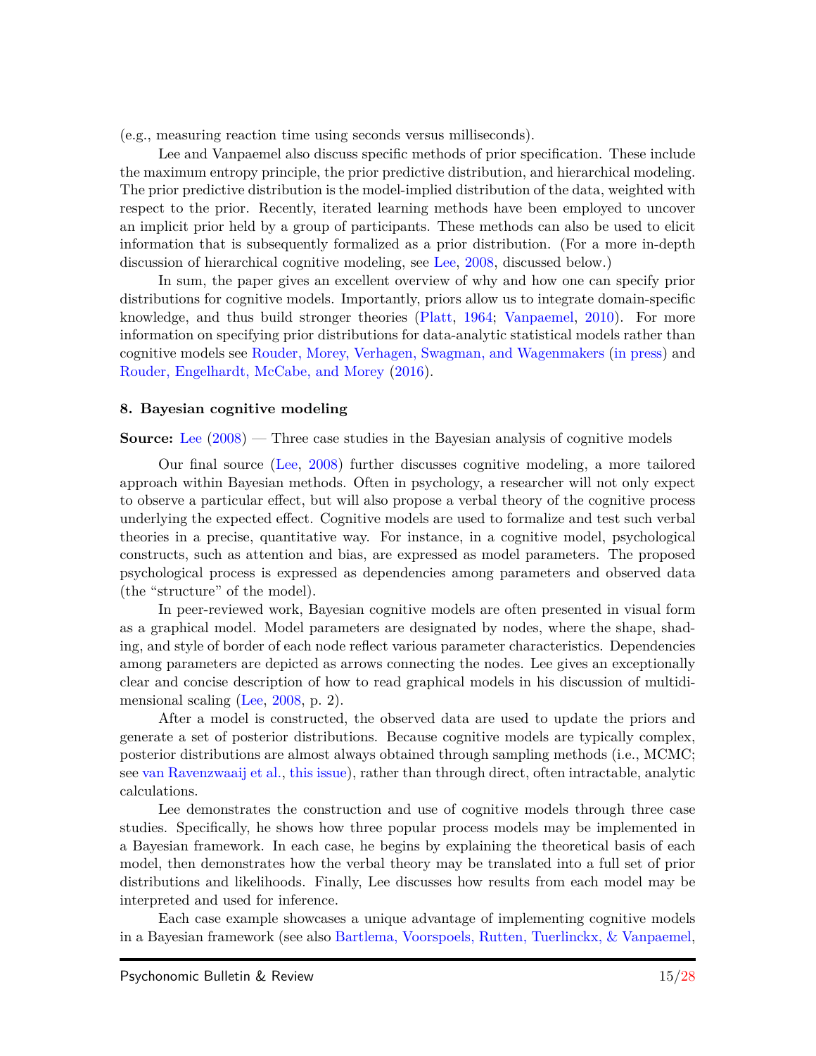(e.g., measuring reaction time using seconds versus milliseconds).

Lee and Vanpaemel also discuss specific methods of prior specification. These include the maximum entropy principle, the prior predictive distribution, and hierarchical modeling. The prior predictive distribution is the model-implied distribution of the data, weighted with respect to the prior. Recently, iterated learning methods have been employed to uncover an implicit prior held by a group of participants. These methods can also be used to elicit information that is subsequently formalized as a prior distribution. (For a more in-depth discussion of hierarchical cognitive modeling, see [Lee,](#page-19-9) [2008,](#page-19-9) discussed below.)

In sum, the paper gives an excellent overview of why and how one can specify prior distributions for cognitive models. Importantly, priors allow us to integrate domain-specific knowledge, and thus build stronger theories [\(Platt,](#page-20-10) [1964;](#page-20-10) [Vanpaemel,](#page-21-10) [2010\)](#page-21-10). For more information on specifying prior distributions for data-analytic statistical models rather than cognitive models see [Rouder, Morey, Verhagen, Swagman, and Wagenmakers](#page-20-11) [\(in press\)](#page-20-11) and [Rouder, Engelhardt, McCabe, and Morey](#page-20-12) [\(2016\)](#page-20-12).

#### **8. Bayesian cognitive modeling**

**Source:** [Lee](#page-19-9)  $(2008)$  — Three case studies in the Bayesian analysis of cognitive models

Our final source [\(Lee,](#page-19-9) [2008\)](#page-19-9) further discusses cognitive modeling, a more tailored approach within Bayesian methods. Often in psychology, a researcher will not only expect to observe a particular effect, but will also propose a verbal theory of the cognitive process underlying the expected effect. Cognitive models are used to formalize and test such verbal theories in a precise, quantitative way. For instance, in a cognitive model, psychological constructs, such as attention and bias, are expressed as model parameters. The proposed psychological process is expressed as dependencies among parameters and observed data (the "structure" of the model).

In peer-reviewed work, Bayesian cognitive models are often presented in visual form as a graphical model. Model parameters are designated by nodes, where the shape, shading, and style of border of each node reflect various parameter characteristics. Dependencies among parameters are depicted as arrows connecting the nodes. Lee gives an exceptionally clear and concise description of how to read graphical models in his discussion of multidimensional scaling [\(Lee,](#page-19-9) [2008,](#page-19-9) p. 2).

After a model is constructed, the observed data are used to update the priors and generate a set of posterior distributions. Because cognitive models are typically complex, posterior distributions are almost always obtained through sampling methods (i.e., MCMC; see [van Ravenzwaaij et al.,](#page-21-9) [this issue\)](#page-21-9), rather than through direct, often intractable, analytic calculations.

Lee demonstrates the construction and use of cognitive models through three case studies. Specifically, he shows how three popular process models may be implemented in a Bayesian framework. In each case, he begins by explaining the theoretical basis of each model, then demonstrates how the verbal theory may be translated into a full set of prior distributions and likelihoods. Finally, Lee discusses how results from each model may be interpreted and used for inference.

Each case example showcases a unique advantage of implementing cognitive models in a Bayesian framework (see also [Bartlema, Voorspoels, Rutten, Tuerlinckx, & Vanpaemel,](#page-17-9)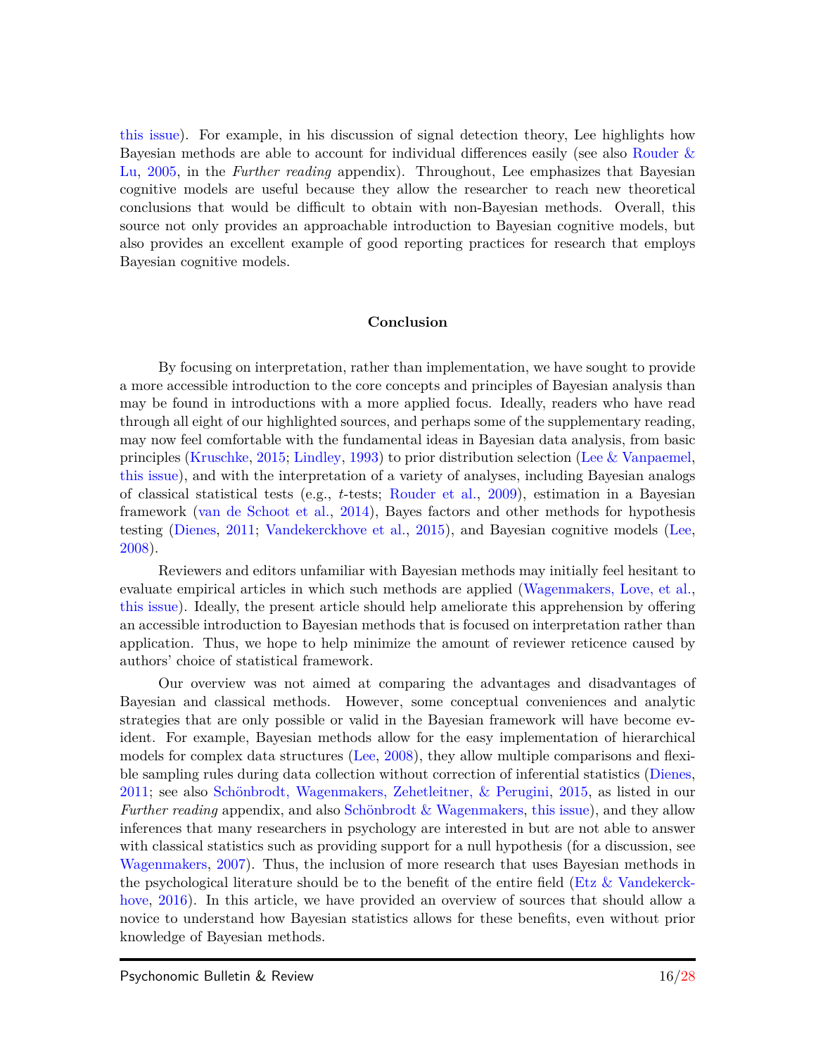[this issue\)](#page-17-9). For example, in his discussion of signal detection theory, Lee highlights how Bayesian methods are able to account for individual differences easily (see also [Rouder &](#page-20-13) [Lu,](#page-20-13) [2005,](#page-20-13) in the *Further reading* appendix). Throughout, Lee emphasizes that Bayesian cognitive models are useful because they allow the researcher to reach new theoretical conclusions that would be difficult to obtain with non-Bayesian methods. Overall, this source not only provides an approachable introduction to Bayesian cognitive models, but also provides an excellent example of good reporting practices for research that employs Bayesian cognitive models.

#### **Conclusion**

By focusing on interpretation, rather than implementation, we have sought to provide a more accessible introduction to the core concepts and principles of Bayesian analysis than may be found in introductions with a more applied focus. Ideally, readers who have read through all eight of our highlighted sources, and perhaps some of the supplementary reading, may now feel comfortable with the fundamental ideas in Bayesian data analysis, from basic principles [\(Kruschke,](#page-19-2) [2015;](#page-19-2) [Lindley,](#page-19-3) [1993\)](#page-19-3) to prior distribution selection [\(Lee & Vanpaemel,](#page-19-8) [this issue\)](#page-19-8), and with the interpretation of a variety of analyses, including Bayesian analogs of classical statistical tests (e.g., *t*-tests; [Rouder et al.,](#page-20-0) [2009\)](#page-20-0), estimation in a Bayesian framework [\(van de Schoot et al.,](#page-21-7) [2014\)](#page-21-7), Bayes factors and other methods for hypothesis testing [\(Dienes,](#page-17-0) [2011;](#page-17-0) [Vandekerckhove et al.,](#page-21-6) [2015\)](#page-21-6), and Bayesian cognitive models [\(Lee,](#page-19-9) [2008\)](#page-19-9).

Reviewers and editors unfamiliar with Bayesian methods may initially feel hesitant to evaluate empirical articles in which such methods are applied [\(Wagenmakers, Love, et al.,](#page-21-5) [this issue\)](#page-21-5). Ideally, the present article should help ameliorate this apprehension by offering an accessible introduction to Bayesian methods that is focused on interpretation rather than application. Thus, we hope to help minimize the amount of reviewer reticence caused by authors' choice of statistical framework.

Our overview was not aimed at comparing the advantages and disadvantages of Bayesian and classical methods. However, some conceptual conveniences and analytic strategies that are only possible or valid in the Bayesian framework will have become evident. For example, Bayesian methods allow for the easy implementation of hierarchical models for complex data structures [\(Lee,](#page-19-9) [2008\)](#page-19-9), they allow multiple comparisons and flexible sampling rules during data collection without correction of inferential statistics [\(Dienes,](#page-17-0) [2011;](#page-17-0) see also [Schönbrodt, Wagenmakers, Zehetleitner, & Perugini,](#page-20-14) [2015,](#page-20-14) as listed in our *Further reading* appendix, and also [Schönbrodt & Wagenmakers,](#page-20-15) [this issue\)](#page-20-15), and they allow inferences that many researchers in psychology are interested in but are not able to answer with classical statistics such as providing support for a null hypothesis (for a discussion, see [Wagenmakers,](#page-21-1) [2007\)](#page-21-1). Thus, the inclusion of more research that uses Bayesian methods in the psychological literature should be to the benefit of the entire field [\(Etz & Vandekerck](#page-18-6)[hove,](#page-18-6) [2016\)](#page-18-6). In this article, we have provided an overview of sources that should allow a novice to understand how Bayesian statistics allows for these benefits, even without prior knowledge of Bayesian methods.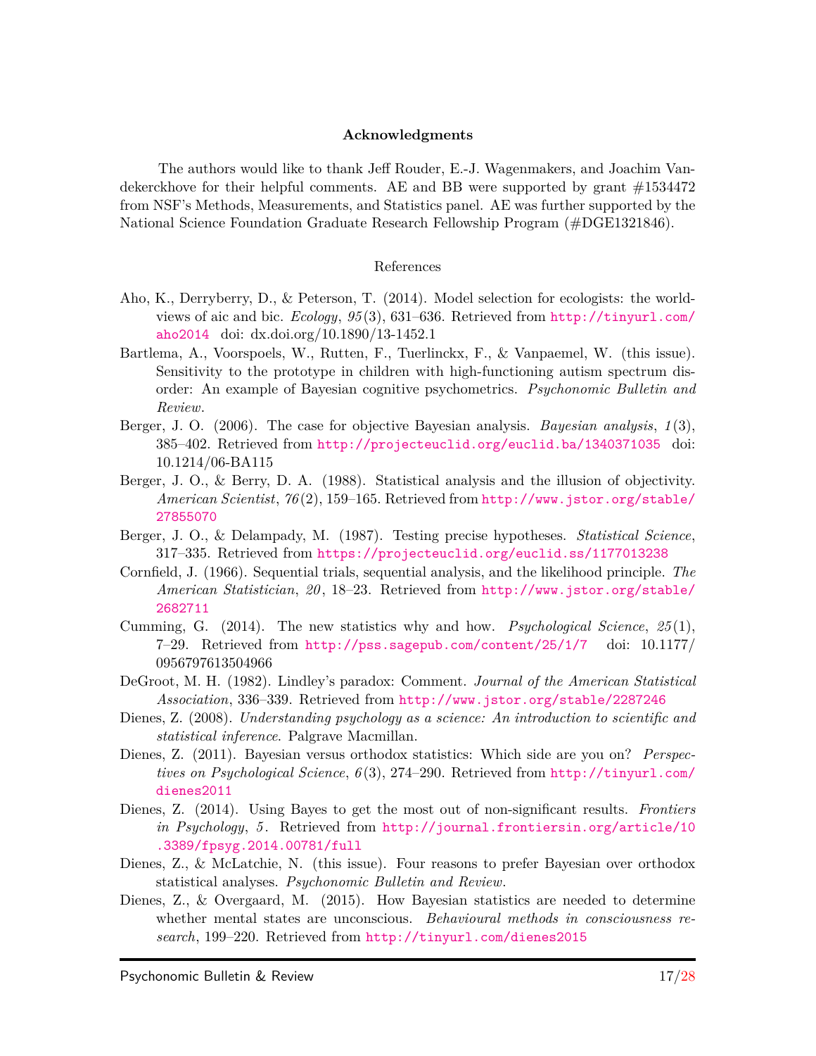#### **Acknowledgments**

The authors would like to thank Jeff Rouder, E.-J. Wagenmakers, and Joachim Vandekerckhove for their helpful comments. AE and BB were supported by grant #1534472 from NSF's Methods, Measurements, and Statistics panel. AE was further supported by the National Science Foundation Graduate Research Fellowship Program (#DGE1321846).

#### References

- <span id="page-17-8"></span>Aho, K., Derryberry, D., & Peterson, T. (2014). Model selection for ecologists: the worldviews of aic and bic. *Ecology*, *95* (3), 631–636. Retrieved from [http://tinyurl.com/](http://tinyurl.com/aho2014) [aho2014](http://tinyurl.com/aho2014) doi: dx.doi.org/10.1890/13-1452.1
- <span id="page-17-9"></span>Bartlema, A., Voorspoels, W., Rutten, F., Tuerlinckx, F., & Vanpaemel, W. (this issue). Sensitivity to the prototype in children with high-functioning autism spectrum disorder: An example of Bayesian cognitive psychometrics. *Psychonomic Bulletin and Review*.
- <span id="page-17-5"></span>Berger, J. O. (2006). The case for objective Bayesian analysis. *Bayesian analysis*, *1* (3), 385–402. Retrieved from <http://projecteuclid.org/euclid.ba/1340371035> doi: 10.1214/06-BA115
- <span id="page-17-11"></span>Berger, J. O., & Berry, D. A. (1988). Statistical analysis and the illusion of objectivity. *American Scientist*, *76* (2), 159–165. Retrieved from [http://www.jstor.org/stable/](http://www.jstor.org/stable/27855070) [27855070](http://www.jstor.org/stable/27855070)
- <span id="page-17-12"></span>Berger, J. O., & Delampady, M. (1987). Testing precise hypotheses. *Statistical Science*, 317–335. Retrieved from <https://projecteuclid.org/euclid.ss/1177013238>
- <span id="page-17-2"></span>Cornfield, J. (1966). Sequential trials, sequential analysis, and the likelihood principle. *The American Statistician*, *20* , 18–23. Retrieved from [http://www.jstor.org/stable/](http://www.jstor.org/stable/2682711) [2682711](http://www.jstor.org/stable/2682711)
- <span id="page-17-7"></span>Cumming, G. (2014). The new statistics why and how. *Psychological Science*, *25* (1), 7–29. Retrieved from <http://pss.sagepub.com/content/25/1/7> doi: 10.1177/ 0956797613504966
- <span id="page-17-6"></span>DeGroot, M. H. (1982). Lindley's paradox: Comment. *Journal of the American Statistical Association*, 336–339. Retrieved from <http://www.jstor.org/stable/2287246>
- <span id="page-17-10"></span>Dienes, Z. (2008). *Understanding psychology as a science: An introduction to scientific and statistical inference*. Palgrave Macmillan.
- <span id="page-17-0"></span>Dienes, Z. (2011). Bayesian versus orthodox statistics: Which side are you on? *Perspectives on Psychological Science*, *6* (3), 274–290. Retrieved from [http://tinyurl.com/](http://tinyurl.com/dienes2011) [dienes2011](http://tinyurl.com/dienes2011)
- <span id="page-17-3"></span>Dienes, Z. (2014). Using Bayes to get the most out of non-significant results. *Frontiers in Psychology*, *5* . Retrieved from [http://journal.frontiersin.org/article/10](http://journal.frontiersin.org/article/10.3389/fpsyg.2014.00781/full) [.3389/fpsyg.2014.00781/full](http://journal.frontiersin.org/article/10.3389/fpsyg.2014.00781/full)
- <span id="page-17-1"></span>Dienes, Z., & McLatchie, N. (this issue). Four reasons to prefer Bayesian over orthodox statistical analyses. *Psychonomic Bulletin and Review*.
- <span id="page-17-4"></span>Dienes, Z., & Overgaard, M. (2015). How Bayesian statistics are needed to determine whether mental states are unconscious. *Behavioural methods in consciousness research*, 199–220. Retrieved from <http://tinyurl.com/dienes2015>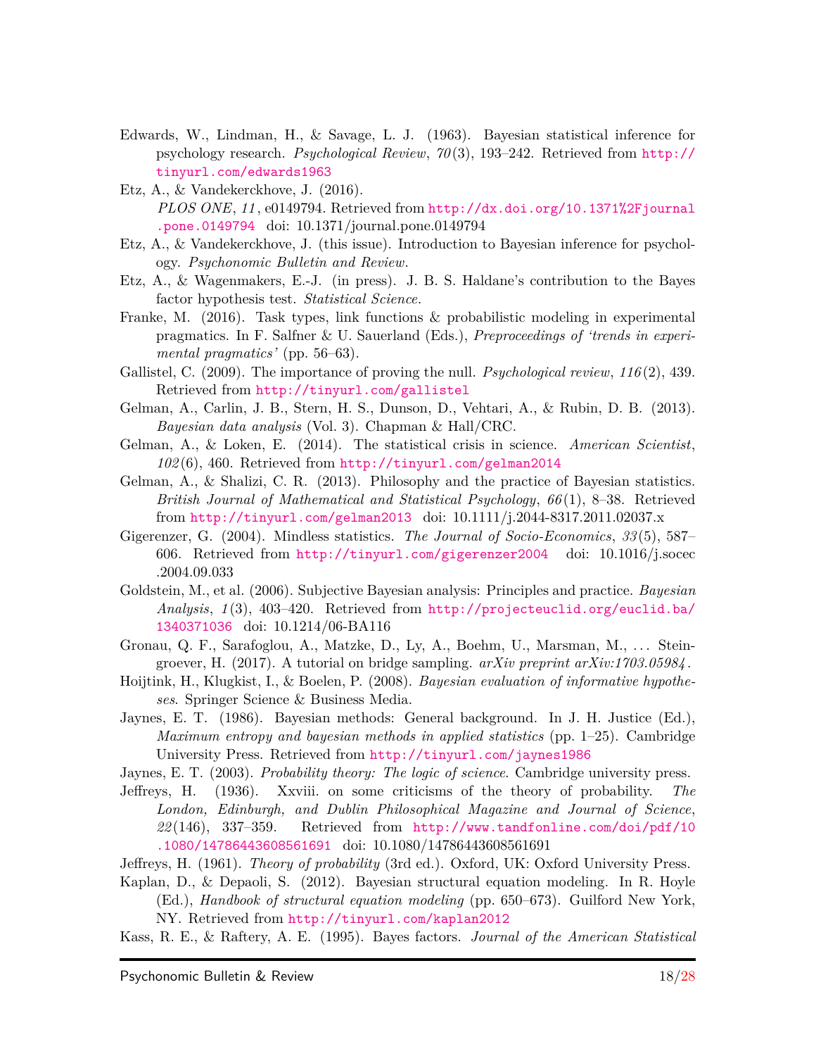- <span id="page-18-15"></span>Edwards, W., Lindman, H., & Savage, L. J. (1963). Bayesian statistical inference for psychology research. *Psychological Review*, *70* (3), 193–242. Retrieved from [http://](http://tinyurl.com/edwards1963) [tinyurl.com/edwards1963](http://tinyurl.com/edwards1963)
- <span id="page-18-6"></span>Etz, A., & Vandekerckhove, J. (2016). *PLOS ONE*, *11* , e0149794. Retrieved from [http://dx.doi.org/10.1371%2Fjournal](http://dx.doi.org/10.1371%2Fjournal.pone.0149794) [.pone.0149794](http://dx.doi.org/10.1371%2Fjournal.pone.0149794) doi: 10.1371/journal.pone.0149794
- <span id="page-18-1"></span>Etz, A., & Vandekerckhove, J. (this issue). Introduction to Bayesian inference for psychology. *Psychonomic Bulletin and Review*.
- <span id="page-18-17"></span>Etz, A., & Wagenmakers, E.-J. (in press). J. B. S. Haldane's contribution to the Bayes factor hypothesis test. *Statistical Science*.
- <span id="page-18-11"></span>Franke, M. (2016). Task types, link functions & probabilistic modeling in experimental pragmatics. In F. Salfner & U. Sauerland (Eds.), *Preproceedings of 'trends in experimental pragmatics'* (pp. 56–63).
- <span id="page-18-5"></span>Gallistel, C. (2009). The importance of proving the null. *Psychological review*, *116* (2), 439. Retrieved from <http://tinyurl.com/gallistel>
- <span id="page-18-0"></span>Gelman, A., Carlin, J. B., Stern, H. S., Dunson, D., Vehtari, A., & Rubin, D. B. (2013). *Bayesian data analysis* (Vol. 3). Chapman & Hall/CRC.
- <span id="page-18-3"></span>Gelman, A., & Loken, E. (2014). The statistical crisis in science. *American Scientist*, *102* (6), 460. Retrieved from <http://tinyurl.com/gelman2014>
- <span id="page-18-8"></span>Gelman, A., & Shalizi, C. R. (2013). Philosophy and the practice of Bayesian statistics. *British Journal of Mathematical and Statistical Psychology*, *66* (1), 8–38. Retrieved from <http://tinyurl.com/gelman2013> doi: 10.1111/j.2044-8317.2011.02037.x
- <span id="page-18-16"></span>Gigerenzer, G. (2004). Mindless statistics. *The Journal of Socio-Economics*, *33* (5), 587– 606. Retrieved from <http://tinyurl.com/gigerenzer2004> doi: 10.1016/j.socec .2004.09.033
- <span id="page-18-7"></span>Goldstein, M., et al. (2006). Subjective Bayesian analysis: Principles and practice. *Bayesian Analysis*, *1* (3), 403–420. Retrieved from [http://projecteuclid.org/euclid.ba/](http://projecteuclid.org/euclid.ba/1340371036) [1340371036](http://projecteuclid.org/euclid.ba/1340371036) doi: 10.1214/06-BA116
- <span id="page-18-9"></span>Gronau, Q. F., Sarafoglou, A., Matzke, D., Ly, A., Boehm, U., Marsman, M., . . . Steingroever, H. (2017). A tutorial on bridge sampling. *arXiv preprint arXiv:1703.05984* .
- <span id="page-18-10"></span>Hoijtink, H., Klugkist, I., & Boelen, P. (2008). *Bayesian evaluation of informative hypotheses*. Springer Science & Business Media.
- <span id="page-18-14"></span>Jaynes, E. T. (1986). Bayesian methods: General background. In J. H. Justice (Ed.), *Maximum entropy and bayesian methods in applied statistics* (pp. 1–25). Cambridge University Press. Retrieved from <http://tinyurl.com/jaynes1986>
- <span id="page-18-12"></span>Jaynes, E. T. (2003). *Probability theory: The logic of science*. Cambridge university press.
- <span id="page-18-18"></span>Jeffreys, H. (1936). Xxviii. on some criticisms of the theory of probability. *The London, Edinburgh, and Dublin Philosophical Magazine and Journal of Science*, *22* (146), 337–359. Retrieved from [http://www.tandfonline.com/doi/pdf/10](http://www.tandfonline.com/doi/pdf/10.1080/14786443608561691) [.1080/14786443608561691](http://www.tandfonline.com/doi/pdf/10.1080/14786443608561691) doi: 10.1080/14786443608561691
- <span id="page-18-4"></span>Jeffreys, H. (1961). *Theory of probability* (3rd ed.). Oxford, UK: Oxford University Press.
- <span id="page-18-13"></span>Kaplan, D., & Depaoli, S. (2012). Bayesian structural equation modeling. In R. Hoyle (Ed.), *Handbook of structural equation modeling* (pp. 650–673). Guilford New York, NY. Retrieved from <http://tinyurl.com/kaplan2012>
- <span id="page-18-2"></span>Kass, R. E., & Raftery, A. E. (1995). Bayes factors. *Journal of the American Statistical*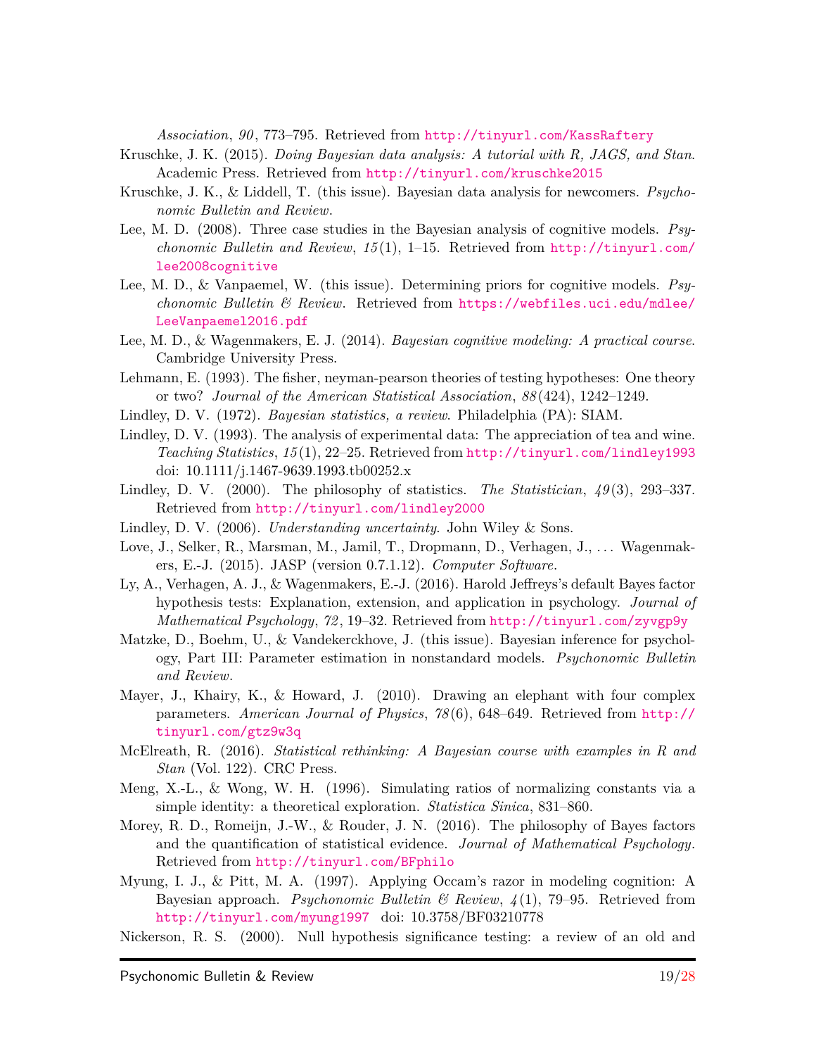*Association*, *90* , 773–795. Retrieved from <http://tinyurl.com/KassRaftery>

- <span id="page-19-2"></span>Kruschke, J. K. (2015). *Doing Bayesian data analysis: A tutorial with R, JAGS, and Stan*. Academic Press. Retrieved from <http://tinyurl.com/kruschke2015>
- <span id="page-19-4"></span>Kruschke, J. K., & Liddell, T. (this issue). Bayesian data analysis for newcomers. *Psychonomic Bulletin and Review*.
- <span id="page-19-9"></span>Lee, M. D. (2008). Three case studies in the Bayesian analysis of cognitive models. *Psychonomic Bulletin and Review*, *15* (1), 1–15. Retrieved from [http://tinyurl.com/](http://tinyurl.com/lee2008cognitive) [lee2008cognitive](http://tinyurl.com/lee2008cognitive)
- <span id="page-19-8"></span>Lee, M. D., & Vanpaemel, W. (this issue). Determining priors for cognitive models. *Psychonomic Bulletin & Review*. Retrieved from [https://webfiles.uci.edu/mdlee/](https://webfiles.uci.edu/mdlee/LeeVanpaemel2016.pdf) [LeeVanpaemel2016.pdf](https://webfiles.uci.edu/mdlee/LeeVanpaemel2016.pdf)
- <span id="page-19-1"></span>Lee, M. D., & Wagenmakers, E. J. (2014). *Bayesian cognitive modeling: A practical course*. Cambridge University Press.
- <span id="page-19-10"></span>Lehmann, E. (1993). The fisher, neyman-pearson theories of testing hypotheses: One theory or two? *Journal of the American Statistical Association*, *88* (424), 1242–1249.
- <span id="page-19-5"></span>Lindley, D. V. (1972). *Bayesian statistics, a review*. Philadelphia (PA): SIAM.
- <span id="page-19-3"></span>Lindley, D. V. (1993). The analysis of experimental data: The appreciation of tea and wine. *Teaching Statistics*, *15* (1), 22–25. Retrieved from <http://tinyurl.com/lindley1993> doi: 10.1111/j.1467-9639.1993.tb00252.x
- <span id="page-19-16"></span>Lindley, D. V. (2000). The philosophy of statistics. The Statistician, 49(3), 293–337. Retrieved from <http://tinyurl.com/lindley2000>
- <span id="page-19-18"></span>Lindley, D. V. (2006). *Understanding uncertainty*. John Wiley & Sons.
- <span id="page-19-17"></span>Love, J., Selker, R., Marsman, M., Jamil, T., Dropmann, D., Verhagen, J., . . . Wagenmakers, E.-J. (2015). JASP (version 0.7.1.12). *Computer Software*.
- <span id="page-19-6"></span>Ly, A., Verhagen, A. J., & Wagenmakers, E.-J. (2016). Harold Jeffreys's default Bayes factor hypothesis tests: Explanation, extension, and application in psychology. *Journal of Mathematical Psychology*, *72* , 19–32. Retrieved from <http://tinyurl.com/zyvgp9y>
- <span id="page-19-15"></span>Matzke, D., Boehm, U., & Vandekerckhove, J. (this issue). Bayesian inference for psychology, Part III: Parameter estimation in nonstandard models. *Psychonomic Bulletin and Review*.
- <span id="page-19-12"></span>Mayer, J., Khairy, K., & Howard, J. (2010). Drawing an elephant with four complex parameters. *American Journal of Physics*, *78* (6), 648–649. Retrieved from [http://](http://tinyurl.com/gtz9w3q) [tinyurl.com/gtz9w3q](http://tinyurl.com/gtz9w3q)
- <span id="page-19-11"></span>McElreath, R. (2016). *Statistical rethinking: A Bayesian course with examples in R and Stan* (Vol. 122). CRC Press.
- <span id="page-19-14"></span>Meng, X.-L., & Wong, W. H. (1996). Simulating ratios of normalizing constants via a simple identity: a theoretical exploration. *Statistica Sinica*, 831–860.
- <span id="page-19-7"></span>Morey, R. D., Romeijn, J.-W., & Rouder, J. N. (2016). The philosophy of Bayes factors and the quantification of statistical evidence. *Journal of Mathematical Psychology*. Retrieved from <http://tinyurl.com/BFphilo>
- <span id="page-19-13"></span>Myung, I. J., & Pitt, M. A. (1997). Applying Occam's razor in modeling cognition: A Bayesian approach. *Psychonomic Bulletin & Review*, *4* (1), 79–95. Retrieved from <http://tinyurl.com/myung1997> doi: 10.3758/BF03210778
- <span id="page-19-0"></span>Nickerson, R. S. (2000). Null hypothesis significance testing: a review of an old and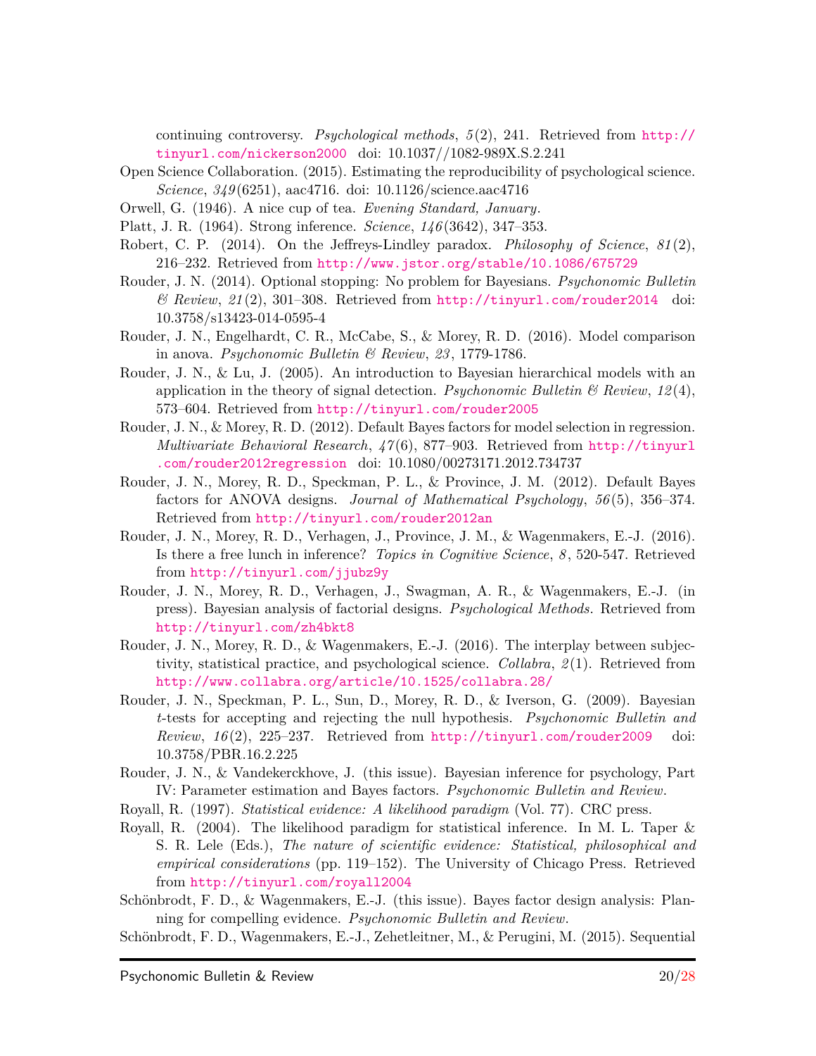continuing controversy. *Psychological methods*, *5* (2), 241. Retrieved from [http://](http://tinyurl.com/nickerson2000) [tinyurl.com/nickerson2000](http://tinyurl.com/nickerson2000) doi: 10.1037//1082-989X.S.2.241

- <span id="page-20-16"></span>Open Science Collaboration. (2015). Estimating the reproducibility of psychological science. *Science*, *349* (6251), aac4716. doi: 10.1126/science.aac4716
- <span id="page-20-1"></span>Orwell, G. (1946). A nice cup of tea. *Evening Standard, January*.
- <span id="page-20-10"></span>Platt, J. R. (1964). Strong inference. *Science*, *146* (3642), 347–353.
- <span id="page-20-7"></span>Robert, C. P. (2014). On the Jeffreys-Lindley paradox. *Philosophy of Science*, *81* (2), 216–232. Retrieved from <http://www.jstor.org/stable/10.1086/675729>
- <span id="page-20-2"></span>Rouder, J. N. (2014). Optional stopping: No problem for Bayesians. *Psychonomic Bulletin & Review*, *21* (2), 301–308. Retrieved from <http://tinyurl.com/rouder2014> doi: 10.3758/s13423-014-0595-4
- <span id="page-20-12"></span>Rouder, J. N., Engelhardt, C. R., McCabe, S., & Morey, R. D. (2016). Model comparison in anova. *Psychonomic Bulletin & Review*, *23* , 1779-1786.
- <span id="page-20-13"></span>Rouder, J. N., & Lu, J. (2005). An introduction to Bayesian hierarchical models with an application in the theory of signal detection. *Psychonomic Bulletin & Review*,  $12(4)$ , 573–604. Retrieved from <http://tinyurl.com/rouder2005>
- <span id="page-20-4"></span>Rouder, J. N., & Morey, R. D. (2012). Default Bayes factors for model selection in regression. *Multivariate Behavioral Research*, *47* (6), 877–903. Retrieved from [http://tinyurl](http://tinyurl.com/rouder2012regression) [.com/rouder2012regression](http://tinyurl.com/rouder2012regression) doi: 10.1080/00273171.2012.734737
- <span id="page-20-5"></span>Rouder, J. N., Morey, R. D., Speckman, P. L., & Province, J. M. (2012). Default Bayes factors for ANOVA designs. *Journal of Mathematical Psychology*, *56* (5), 356–374. Retrieved from <http://tinyurl.com/rouder2012an>
- <span id="page-20-8"></span>Rouder, J. N., Morey, R. D., Verhagen, J., Province, J. M., & Wagenmakers, E.-J. (2016). Is there a free lunch in inference? *Topics in Cognitive Science*, *8* , 520-547. Retrieved from <http://tinyurl.com/jjubz9y>
- <span id="page-20-11"></span>Rouder, J. N., Morey, R. D., Verhagen, J., Swagman, A. R., & Wagenmakers, E.-J. (in press). Bayesian analysis of factorial designs. *Psychological Methods*. Retrieved from <http://tinyurl.com/zh4bkt8>
- <span id="page-20-6"></span>Rouder, J. N., Morey, R. D., & Wagenmakers, E.-J. (2016). The interplay between subjectivity, statistical practice, and psychological science. *Collabra*, *2* (1). Retrieved from <http://www.collabra.org/article/10.1525/collabra.28/>
- <span id="page-20-0"></span>Rouder, J. N., Speckman, P. L., Sun, D., Morey, R. D., & Iverson, G. (2009). Bayesian *t*-tests for accepting and rejecting the null hypothesis. *Psychonomic Bulletin and Review*, *16* (2), 225–237. Retrieved from <http://tinyurl.com/rouder2009> doi: 10.3758/PBR.16.2.225
- <span id="page-20-9"></span>Rouder, J. N., & Vandekerckhove, J. (this issue). Bayesian inference for psychology, Part IV: Parameter estimation and Bayes factors. *Psychonomic Bulletin and Review*.
- <span id="page-20-17"></span>Royall, R. (1997). *Statistical evidence: A likelihood paradigm* (Vol. 77). CRC press.
- <span id="page-20-3"></span>Royall, R. (2004). The likelihood paradigm for statistical inference. In M. L. Taper  $\&$ S. R. Lele (Eds.), *The nature of scientific evidence: Statistical, philosophical and empirical considerations* (pp. 119–152). The University of Chicago Press. Retrieved from <http://tinyurl.com/royall2004>
- <span id="page-20-15"></span>Schönbrodt, F. D., & Wagenmakers, E.-J. (this issue). Bayes factor design analysis: Planning for compelling evidence. *Psychonomic Bulletin and Review*.
- <span id="page-20-14"></span>Schönbrodt, F. D., Wagenmakers, E.-J., Zehetleitner, M., & Perugini, M. (2015). Sequential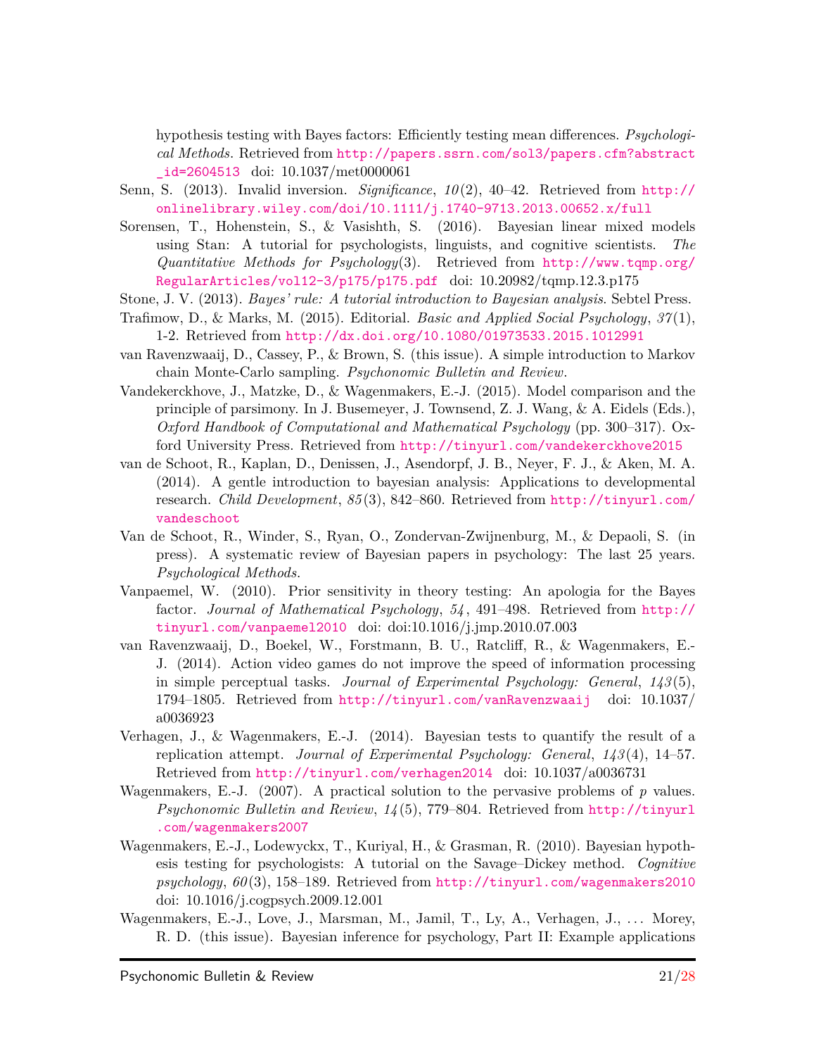hypothesis testing with Bayes factors: Efficiently testing mean differences. *Psychological Methods*. Retrieved from [http://papers.ssrn.com/sol3/papers.cfm?abstract](http://papers.ssrn.com/sol3/papers.cfm?abstract_id=2604513) [\\_id=2604513](http://papers.ssrn.com/sol3/papers.cfm?abstract_id=2604513) doi: 10.1037/met0000061

- <span id="page-21-3"></span>Senn, S. (2013). Invalid inversion. *Significance*,  $10(2)$ , 40-42. Retrieved from [http://](http://onlinelibrary.wiley.com/doi/10.1111/j.1740-9713.2013.00652.x/full) [onlinelibrary.wiley.com/doi/10.1111/j.1740-9713.2013.00652.x/full](http://onlinelibrary.wiley.com/doi/10.1111/j.1740-9713.2013.00652.x/full)
- <span id="page-21-11"></span>Sorensen, T., Hohenstein, S., & Vasishth, S. (2016). Bayesian linear mixed models using Stan: A tutorial for psychologists, linguists, and cognitive scientists. *The Quantitative Methods for Psychology*(3). Retrieved from [http://www.tqmp.org/](http://www.tqmp.org/RegularArticles/vol12-3/p175/p175.pdf) [RegularArticles/vol12-3/p175/p175.pdf](http://www.tqmp.org/RegularArticles/vol12-3/p175/p175.pdf) doi: 10.20982/tqmp.12.3.p175
- <span id="page-21-13"></span>Stone, J. V. (2013). *Bayes' rule: A tutorial introduction to Bayesian analysis*. Sebtel Press.
- <span id="page-21-2"></span>Trafimow, D., & Marks, M. (2015). Editorial. *Basic and Applied Social Psychology*, *37* (1), 1-2. Retrieved from <http://dx.doi.org/10.1080/01973533.2015.1012991>
- <span id="page-21-9"></span>van Ravenzwaaij, D., Cassey, P., & Brown, S. (this issue). A simple introduction to Markov chain Monte-Carlo sampling. *Psychonomic Bulletin and Review*.
- <span id="page-21-6"></span>Vandekerckhove, J., Matzke, D., & Wagenmakers, E.-J. (2015). Model comparison and the principle of parsimony. In J. Busemeyer, J. Townsend, Z. J. Wang, & A. Eidels (Eds.), *Oxford Handbook of Computational and Mathematical Psychology* (pp. 300–317). Oxford University Press. Retrieved from <http://tinyurl.com/vandekerckhove2015>
- <span id="page-21-7"></span>van de Schoot, R., Kaplan, D., Denissen, J., Asendorpf, J. B., Neyer, F. J., & Aken, M. A. (2014). A gentle introduction to bayesian analysis: Applications to developmental research. *Child Development*, *85* (3), 842–860. Retrieved from [http://tinyurl.com/](http://tinyurl.com/vandeschoot) [vandeschoot](http://tinyurl.com/vandeschoot)
- <span id="page-21-0"></span>Van de Schoot, R., Winder, S., Ryan, O., Zondervan-Zwijnenburg, M., & Depaoli, S. (in press). A systematic review of Bayesian papers in psychology: The last 25 years. *Psychological Methods*.
- <span id="page-21-10"></span>Vanpaemel, W. (2010). Prior sensitivity in theory testing: An apologia for the Bayes factor. *Journal of Mathematical Psychology*, *54* , 491–498. Retrieved from [http://](http://tinyurl.com/vanpaemel2010) [tinyurl.com/vanpaemel2010](http://tinyurl.com/vanpaemel2010) doi: doi:10.1016/j.jmp.2010.07.003
- <span id="page-21-4"></span>van Ravenzwaaij, D., Boekel, W., Forstmann, B. U., Ratcliff, R., & Wagenmakers, E.- J. (2014). Action video games do not improve the speed of information processing in simple perceptual tasks. *Journal of Experimental Psychology: General*, *143* (5), 1794–1805. Retrieved from <http://tinyurl.com/vanRavenzwaaij> doi: 10.1037/ a0036923
- <span id="page-21-12"></span>Verhagen, J., & Wagenmakers, E.-J. (2014). Bayesian tests to quantify the result of a replication attempt. *Journal of Experimental Psychology: General*, *143* (4), 14–57. Retrieved from <http://tinyurl.com/verhagen2014> doi: 10.1037/a0036731
- <span id="page-21-1"></span>Wagenmakers, E.-J. (2007). A practical solution to the pervasive problems of *p* values. *Psychonomic Bulletin and Review*, *14* (5), 779–804. Retrieved from [http://tinyurl](http://tinyurl.com/wagenmakers2007) [.com/wagenmakers2007](http://tinyurl.com/wagenmakers2007)
- <span id="page-21-8"></span>Wagenmakers, E.-J., Lodewyckx, T., Kuriyal, H., & Grasman, R. (2010). Bayesian hypothesis testing for psychologists: A tutorial on the Savage–Dickey method. *Cognitive psychology*, *60* (3), 158–189. Retrieved from <http://tinyurl.com/wagenmakers2010> doi: 10.1016/j.cogpsych.2009.12.001
- <span id="page-21-5"></span>Wagenmakers, E.-J., Love, J., Marsman, M., Jamil, T., Ly, A., Verhagen, J., ... Morey, R. D. (this issue). Bayesian inference for psychology, Part II: Example applications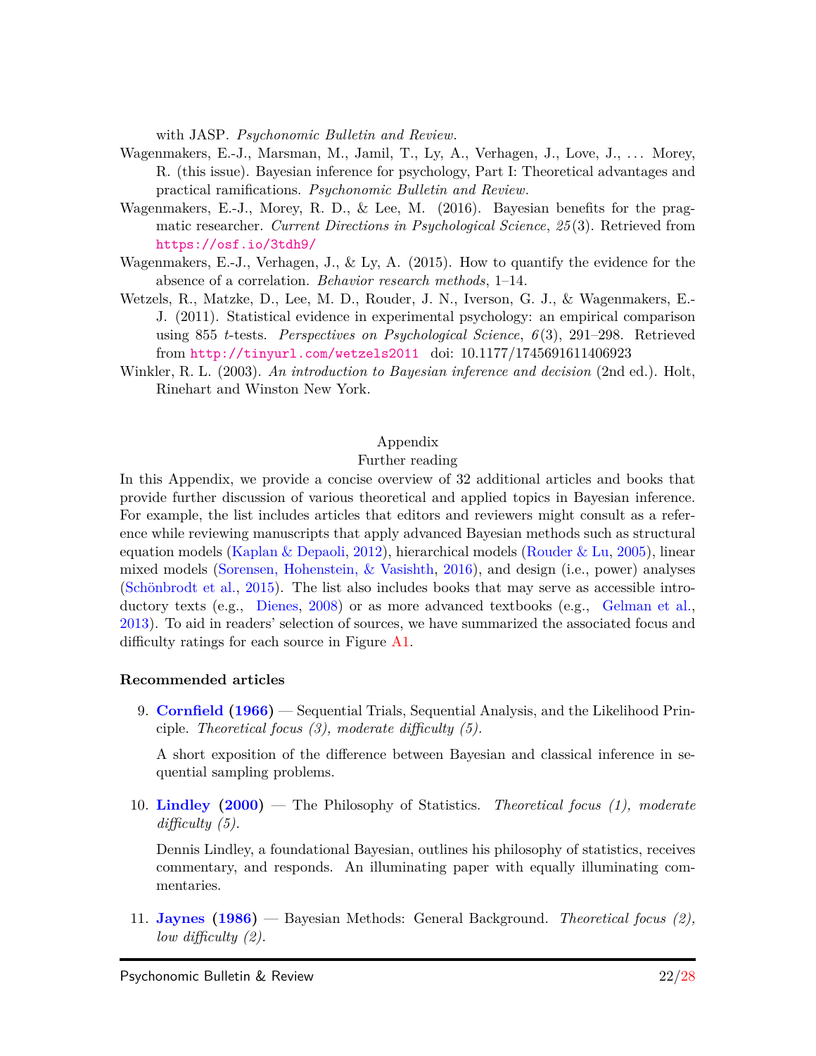with JASP. *Psychonomic Bulletin and Review*.

- <span id="page-22-0"></span>Wagenmakers, E.-J., Marsman, M., Jamil, T., Ly, A., Verhagen, J., Love, J., ... Morey, R. (this issue). Bayesian inference for psychology, Part I: Theoretical advantages and practical ramifications. *Psychonomic Bulletin and Review*.
- <span id="page-22-1"></span>Wagenmakers, E.-J., Morey, R. D., & Lee, M. (2016). Bayesian benefits for the pragmatic researcher. *Current Directions in Psychological Science*, *25* (3). Retrieved from <https://osf.io/3tdh9/>
- <span id="page-22-2"></span>Wagenmakers, E.-J., Verhagen, J., & Ly, A. (2015). How to quantify the evidence for the absence of a correlation. *Behavior research methods*, 1–14.
- <span id="page-22-3"></span>Wetzels, R., Matzke, D., Lee, M. D., Rouder, J. N., Iverson, G. J., & Wagenmakers, E.- J. (2011). Statistical evidence in experimental psychology: an empirical comparison using 855 *t*-tests. *Perspectives on Psychological Science*, *6* (3), 291–298. Retrieved from <http://tinyurl.com/wetzels2011> doi: 10.1177/1745691611406923
- <span id="page-22-4"></span>Winkler, R. L. (2003). *An introduction to Bayesian inference and decision* (2nd ed.). Holt, Rinehart and Winston New York.

#### Appendix

#### Further reading

In this Appendix, we provide a concise overview of 32 additional articles and books that provide further discussion of various theoretical and applied topics in Bayesian inference. For example, the list includes articles that editors and reviewers might consult as a reference while reviewing manuscripts that apply advanced Bayesian methods such as structural equation models [\(Kaplan & Depaoli,](#page-18-13) [2012\)](#page-18-13), hierarchical models [\(Rouder & Lu,](#page-20-13) [2005\)](#page-20-13), linear mixed models [\(Sorensen, Hohenstein, & Vasishth,](#page-21-11) [2016\)](#page-21-11), and design (i.e., power) analyses [\(Schönbrodt et al.,](#page-20-14) [2015\)](#page-20-14). The list also includes books that may serve as accessible introductory texts (e.g., [Dienes,](#page-17-10) [2008\)](#page-17-10) or as more advanced textbooks (e.g., [Gelman et al.,](#page-18-0) [2013\)](#page-18-0). To aid in readers' selection of sources, we have summarized the associated focus and difficulty ratings for each source in Figure [A1.](#page-28-1)

#### **Recommended articles**

9. **[Cornfield](#page-17-2) [\(1966\)](#page-17-2)** — Sequential Trials, Sequential Analysis, and the Likelihood Principle. *Theoretical focus (3), moderate difficulty (5).*

A short exposition of the difference between Bayesian and classical inference in sequential sampling problems.

10. **[Lindley](#page-19-16) [\(2000\)](#page-19-16)** — The Philosophy of Statistics. *Theoretical focus (1), moderate difficulty (5).*

Dennis Lindley, a foundational Bayesian, outlines his philosophy of statistics, receives commentary, and responds. An illuminating paper with equally illuminating commentaries.

11. **[Jaynes](#page-18-14) [\(1986\)](#page-18-14)** — Bayesian Methods: General Background. *Theoretical focus (2), low difficulty (2).*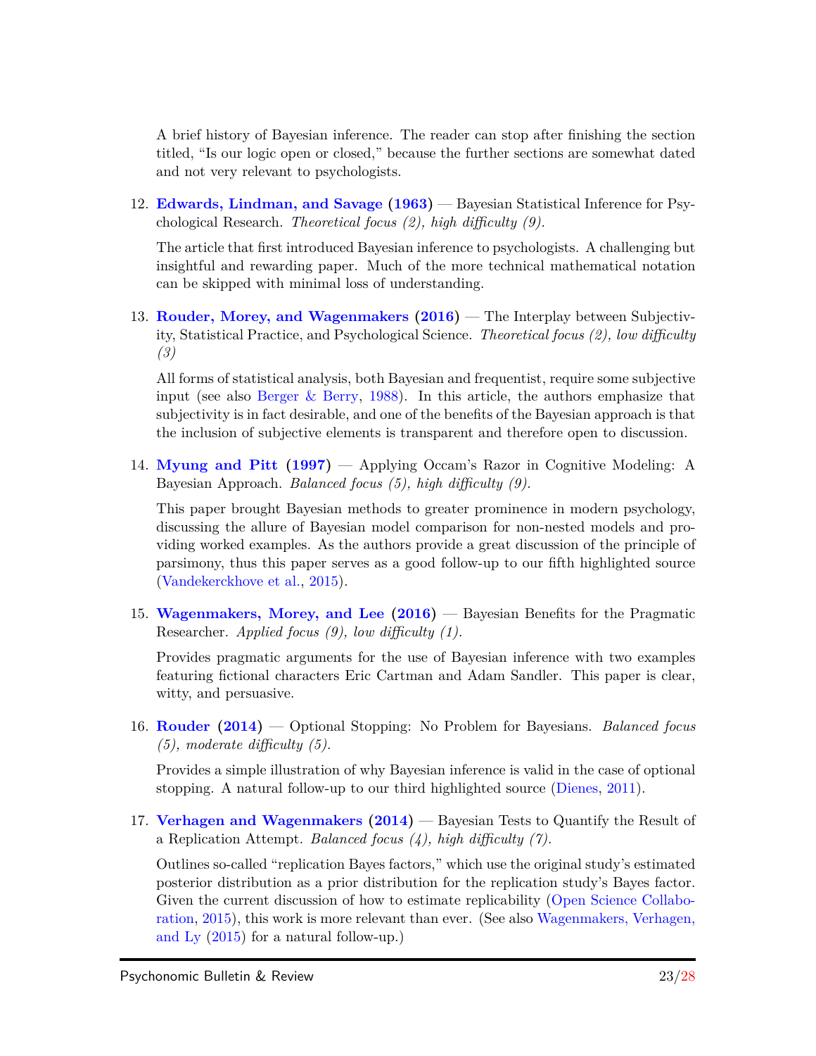A brief history of Bayesian inference. The reader can stop after finishing the section titled, "Is our logic open or closed," because the further sections are somewhat dated and not very relevant to psychologists.

12. **[Edwards, Lindman, and Savage](#page-18-15) [\(1963\)](#page-18-15)** — Bayesian Statistical Inference for Psychological Research. *Theoretical focus (2), high difficulty (9).*

The article that first introduced Bayesian inference to psychologists. A challenging but insightful and rewarding paper. Much of the more technical mathematical notation can be skipped with minimal loss of understanding.

13. **[Rouder, Morey, and Wagenmakers](#page-20-6) [\(2016\)](#page-20-6)** — The Interplay between Subjectivity, Statistical Practice, and Psychological Science. *Theoretical focus (2), low difficulty (3)*

All forms of statistical analysis, both Bayesian and frequentist, require some subjective input (see also Berger  $\&$  Berry, [1988\)](#page-17-11). In this article, the authors emphasize that subjectivity is in fact desirable, and one of the benefits of the Bayesian approach is that the inclusion of subjective elements is transparent and therefore open to discussion.

14. **[Myung and Pitt](#page-19-13) [\(1997\)](#page-19-13)** — Applying Occam's Razor in Cognitive Modeling: A Bayesian Approach. *Balanced focus (5), high difficulty (9).*

This paper brought Bayesian methods to greater prominence in modern psychology, discussing the allure of Bayesian model comparison for non-nested models and providing worked examples. As the authors provide a great discussion of the principle of parsimony, thus this paper serves as a good follow-up to our fifth highlighted source [\(Vandekerckhove et al.,](#page-21-6) [2015\)](#page-21-6).

15. **[Wagenmakers, Morey, and Lee](#page-22-1) [\(2016\)](#page-22-1)** — Bayesian Benefits for the Pragmatic Researcher. *Applied focus (9), low difficulty (1).*

Provides pragmatic arguments for the use of Bayesian inference with two examples featuring fictional characters Eric Cartman and Adam Sandler. This paper is clear, witty, and persuasive.

16. **[Rouder](#page-20-2) [\(2014\)](#page-20-2)** — Optional Stopping: No Problem for Bayesians. *Balanced focus (5), moderate difficulty (5).*

Provides a simple illustration of why Bayesian inference is valid in the case of optional stopping. A natural follow-up to our third highlighted source [\(Dienes,](#page-17-0) [2011\)](#page-17-0).

17. **[Verhagen and Wagenmakers](#page-21-12) [\(2014\)](#page-21-12)** — Bayesian Tests to Quantify the Result of a Replication Attempt. *Balanced focus (4), high difficulty (7).*

Outlines so-called "replication Bayes factors," which use the original study's estimated posterior distribution as a prior distribution for the replication study's Bayes factor. Given the current discussion of how to estimate replicability [\(Open Science Collabo](#page-20-16)[ration,](#page-20-16) [2015\)](#page-20-16), this work is more relevant than ever. (See also [Wagenmakers, Verhagen,](#page-22-2) [and Ly](#page-22-2) [\(2015\)](#page-22-2) for a natural follow-up.)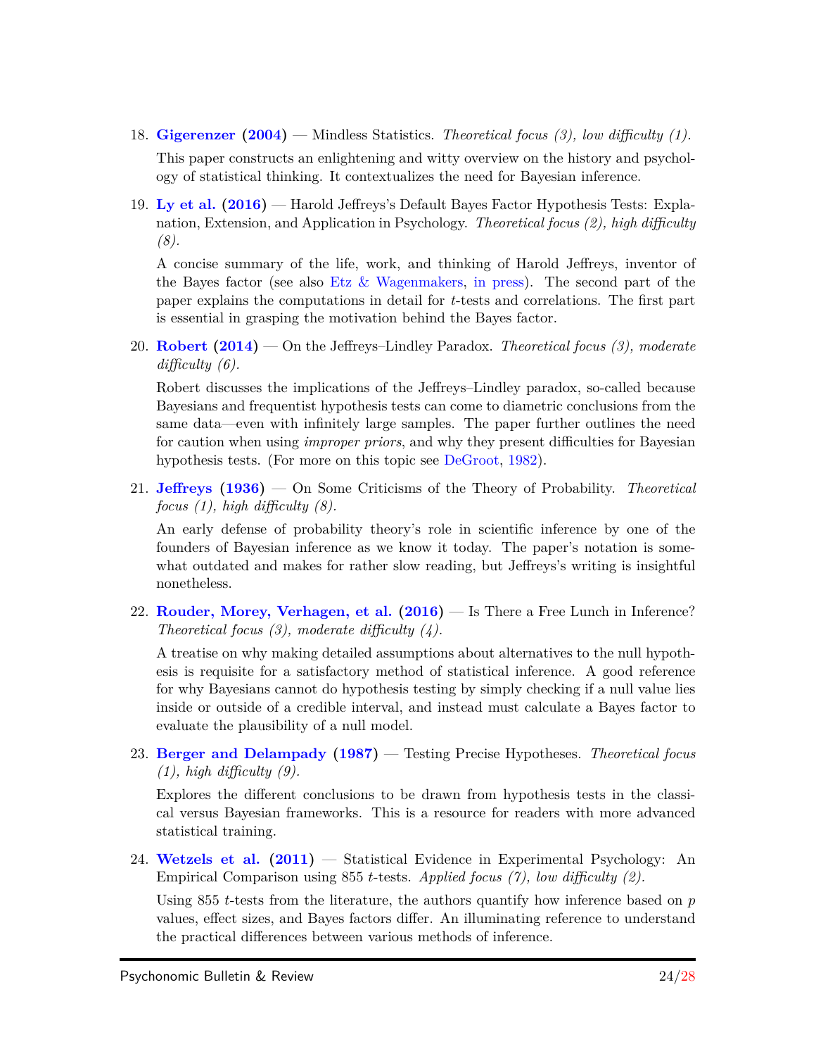- 18. **[Gigerenzer](#page-18-16) [\(2004\)](#page-18-16)** Mindless Statistics. *Theoretical focus (3), low difficulty (1).* This paper constructs an enlightening and witty overview on the history and psychology of statistical thinking. It contextualizes the need for Bayesian inference.
- 19. **[Ly et al.](#page-19-6) [\(2016\)](#page-19-6)** Harold Jeffreys's Default Bayes Factor Hypothesis Tests: Explanation, Extension, and Application in Psychology. *Theoretical focus (2), high difficulty (8).*

A concise summary of the life, work, and thinking of Harold Jeffreys, inventor of the Bayes factor (see also [Etz & Wagenmakers,](#page-18-17) [in press\)](#page-18-17). The second part of the paper explains the computations in detail for *t*-tests and correlations. The first part is essential in grasping the motivation behind the Bayes factor.

20. **[Robert](#page-20-7) [\(2014\)](#page-20-7)** — On the Jeffreys–Lindley Paradox. *Theoretical focus (3), moderate difficulty (6).*

Robert discusses the implications of the Jeffreys–Lindley paradox, so-called because Bayesians and frequentist hypothesis tests can come to diametric conclusions from the same data—even with infinitely large samples. The paper further outlines the need for caution when using *improper priors*, and why they present difficulties for Bayesian hypothesis tests. (For more on this topic see [DeGroot,](#page-17-6) [1982\)](#page-17-6).

21. **[Jeffreys](#page-18-18) [\(1936\)](#page-18-18)** — On Some Criticisms of the Theory of Probability. *Theoretical focus (1), high difficulty (8).*

An early defense of probability theory's role in scientific inference by one of the founders of Bayesian inference as we know it today. The paper's notation is somewhat outdated and makes for rather slow reading, but Jeffreys's writing is insightful nonetheless.

22. **[Rouder, Morey, Verhagen, et al.](#page-20-8) [\(2016\)](#page-20-8)** — Is There a Free Lunch in Inference? *Theoretical focus (3), moderate difficulty (4).*

A treatise on why making detailed assumptions about alternatives to the null hypothesis is requisite for a satisfactory method of statistical inference. A good reference for why Bayesians cannot do hypothesis testing by simply checking if a null value lies inside or outside of a credible interval, and instead must calculate a Bayes factor to evaluate the plausibility of a null model.

23. **[Berger and Delampady](#page-17-12) [\(1987\)](#page-17-12)** — Testing Precise Hypotheses. *Theoretical focus (1), high difficulty (9).*

Explores the different conclusions to be drawn from hypothesis tests in the classical versus Bayesian frameworks. This is a resource for readers with more advanced statistical training.

24. **[Wetzels et al.](#page-22-3) [\(2011\)](#page-22-3)** — Statistical Evidence in Experimental Psychology: An Empirical Comparison using 855 *t*-tests. *Applied focus (7), low difficulty (2).*

Using 855 *t*-tests from the literature, the authors quantify how inference based on *p* values, effect sizes, and Bayes factors differ. An illuminating reference to understand the practical differences between various methods of inference.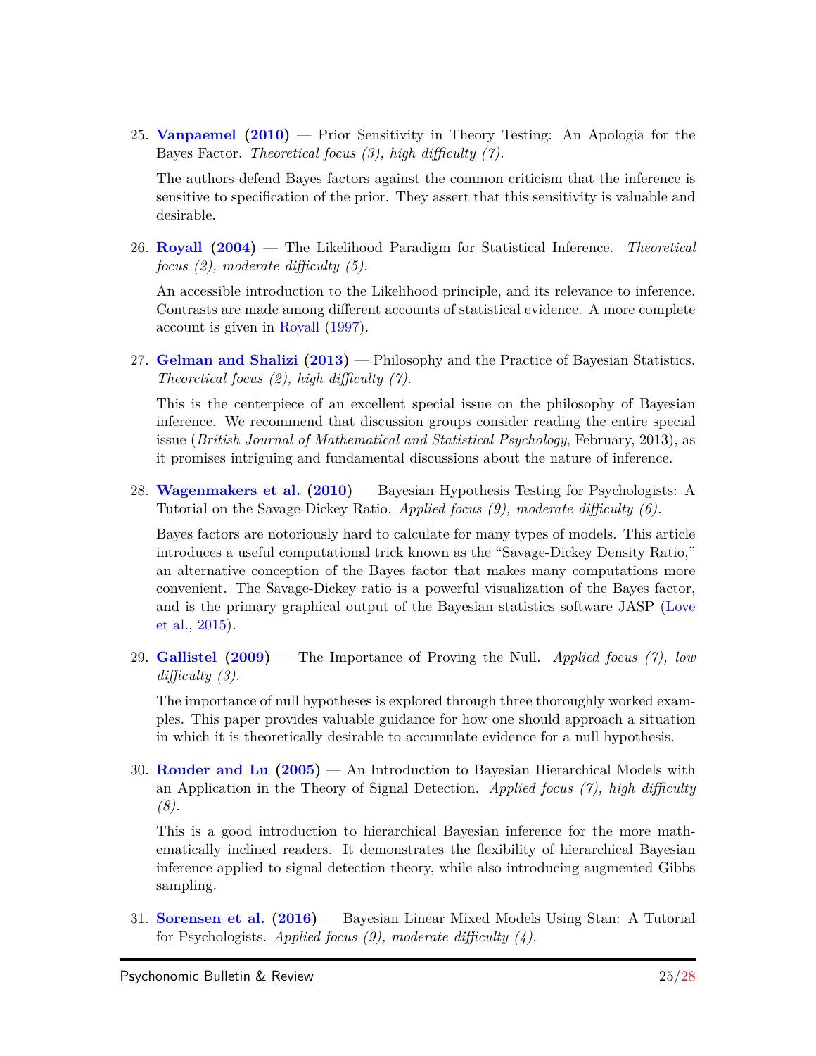25. **[Vanpaemel](#page-21-10) [\(2010\)](#page-21-10)** — Prior Sensitivity in Theory Testing: An Apologia for the Bayes Factor. *Theoretical focus (3), high difficulty (7).*

The authors defend Bayes factors against the common criticism that the inference is sensitive to specification of the prior. They assert that this sensitivity is valuable and desirable.

26. **[Royall](#page-20-3) [\(2004\)](#page-20-3)** — The Likelihood Paradigm for Statistical Inference. *Theoretical focus (2), moderate difficulty (5).*

An accessible introduction to the Likelihood principle, and its relevance to inference. Contrasts are made among different accounts of statistical evidence. A more complete account is given in [Royall](#page-20-17) [\(1997\)](#page-20-17).

27. **[Gelman and Shalizi](#page-18-8) [\(2013\)](#page-18-8)** — Philosophy and the Practice of Bayesian Statistics. *Theoretical focus (2), high difficulty (7).*

This is the centerpiece of an excellent special issue on the philosophy of Bayesian inference. We recommend that discussion groups consider reading the entire special issue (*British Journal of Mathematical and Statistical Psychology*, February, 2013), as it promises intriguing and fundamental discussions about the nature of inference.

28. **[Wagenmakers et al.](#page-21-8) [\(2010\)](#page-21-8)** — Bayesian Hypothesis Testing for Psychologists: A Tutorial on the Savage-Dickey Ratio. *Applied focus (9), moderate difficulty (6).*

Bayes factors are notoriously hard to calculate for many types of models. This article introduces a useful computational trick known as the "Savage-Dickey Density Ratio," an alternative conception of the Bayes factor that makes many computations more convenient. The Savage-Dickey ratio is a powerful visualization of the Bayes factor, and is the primary graphical output of the Bayesian statistics software JASP [\(Love](#page-19-17) [et al.,](#page-19-17) [2015\)](#page-19-17).

29. **[Gallistel](#page-18-5) [\(2009\)](#page-18-5)** — The Importance of Proving the Null. *Applied focus (7), low difficulty (3).*

The importance of null hypotheses is explored through three thoroughly worked examples. This paper provides valuable guidance for how one should approach a situation in which it is theoretically desirable to accumulate evidence for a null hypothesis.

30. **[Rouder and Lu](#page-20-13) [\(2005\)](#page-20-13)** — An Introduction to Bayesian Hierarchical Models with an Application in the Theory of Signal Detection. *Applied focus (7), high difficulty (8).*

This is a good introduction to hierarchical Bayesian inference for the more mathematically inclined readers. It demonstrates the flexibility of hierarchical Bayesian inference applied to signal detection theory, while also introducing augmented Gibbs sampling.

31. **[Sorensen et al.](#page-21-11) [\(2016\)](#page-21-11)** — Bayesian Linear Mixed Models Using Stan: A Tutorial for Psychologists. *Applied focus (9), moderate difficulty (4).*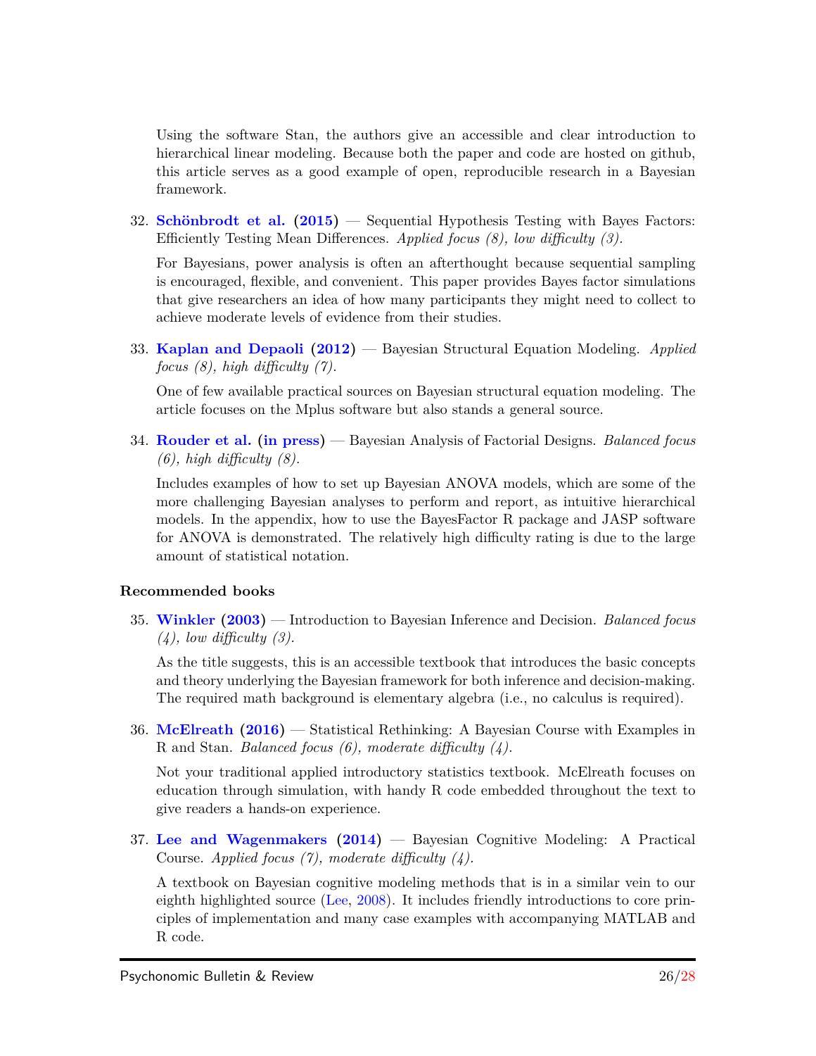Using the software Stan, the authors give an accessible and clear introduction to hierarchical linear modeling. Because both the paper and code are hosted on github, this article serves as a good example of open, reproducible research in a Bayesian framework.

32. **[Schönbrodt et al.](#page-20-14) [\(2015\)](#page-20-14)** — Sequential Hypothesis Testing with Bayes Factors: Efficiently Testing Mean Differences. *Applied focus (8), low difficulty (3).*

For Bayesians, power analysis is often an afterthought because sequential sampling is encouraged, flexible, and convenient. This paper provides Bayes factor simulations that give researchers an idea of how many participants they might need to collect to achieve moderate levels of evidence from their studies.

33. **[Kaplan and Depaoli](#page-18-13) [\(2012\)](#page-18-13)** — Bayesian Structural Equation Modeling. *Applied focus (8), high difficulty (7).*

One of few available practical sources on Bayesian structural equation modeling. The article focuses on the Mplus software but also stands a general source.

34. **[Rouder et al.](#page-20-11) [\(in press\)](#page-20-11)** — Bayesian Analysis of Factorial Designs. *Balanced focus (6), high difficulty (8).*

Includes examples of how to set up Bayesian ANOVA models, which are some of the more challenging Bayesian analyses to perform and report, as intuitive hierarchical models. In the appendix, how to use the BayesFactor R package and JASP software for ANOVA is demonstrated. The relatively high difficulty rating is due to the large amount of statistical notation.

#### **Recommended books**

35. **[Winkler](#page-22-4) [\(2003\)](#page-22-4)** — Introduction to Bayesian Inference and Decision. *Balanced focus (4), low difficulty (3).*

As the title suggests, this is an accessible textbook that introduces the basic concepts and theory underlying the Bayesian framework for both inference and decision-making. The required math background is elementary algebra (i.e., no calculus is required).

36. **[McElreath](#page-19-11) [\(2016\)](#page-19-11)** — Statistical Rethinking: A Bayesian Course with Examples in R and Stan. *Balanced focus (6), moderate difficulty (4).*

Not your traditional applied introductory statistics textbook. McElreath focuses on education through simulation, with handy R code embedded throughout the text to give readers a hands-on experience.

37. **[Lee and Wagenmakers](#page-19-1) [\(2014\)](#page-19-1)** — Bayesian Cognitive Modeling: A Practical Course. *Applied focus (7), moderate difficulty (4).*

A textbook on Bayesian cognitive modeling methods that is in a similar vein to our eighth highlighted source [\(Lee,](#page-19-9) [2008\)](#page-19-9). It includes friendly introductions to core principles of implementation and many case examples with accompanying MATLAB and R code.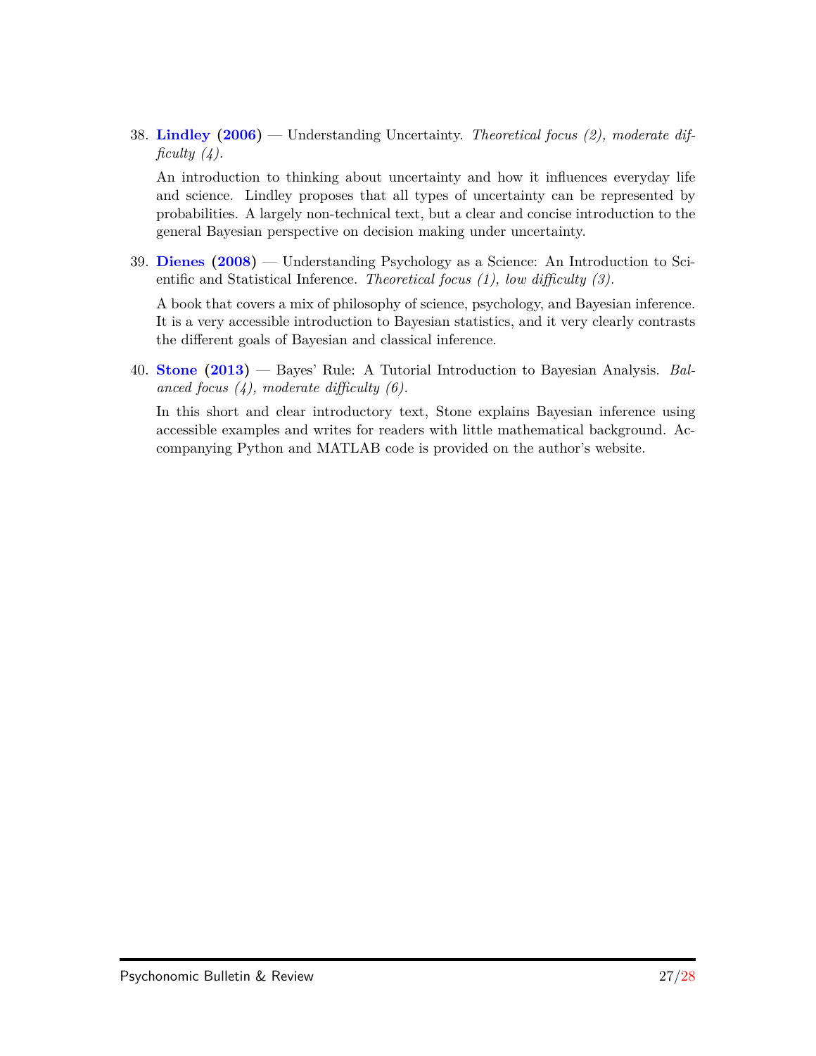38. **[Lindley](#page-19-18) [\(2006\)](#page-19-18)** — Understanding Uncertainty. *Theoretical focus (2), moderate difficulty (4).*

An introduction to thinking about uncertainty and how it influences everyday life and science. Lindley proposes that all types of uncertainty can be represented by probabilities. A largely non-technical text, but a clear and concise introduction to the general Bayesian perspective on decision making under uncertainty.

39. **[Dienes](#page-17-10) [\(2008\)](#page-17-10)** — Understanding Psychology as a Science: An Introduction to Scientific and Statistical Inference. *Theoretical focus (1), low difficulty (3).*

A book that covers a mix of philosophy of science, psychology, and Bayesian inference. It is a very accessible introduction to Bayesian statistics, and it very clearly contrasts the different goals of Bayesian and classical inference.

40. **[Stone](#page-21-13) [\(2013\)](#page-21-13)** — Bayes' Rule: A Tutorial Introduction to Bayesian Analysis. *Balanced focus (4), moderate difficulty (6).*

In this short and clear introductory text, Stone explains Bayesian inference using accessible examples and writes for readers with little mathematical background. Accompanying Python and MATLAB code is provided on the author's website.